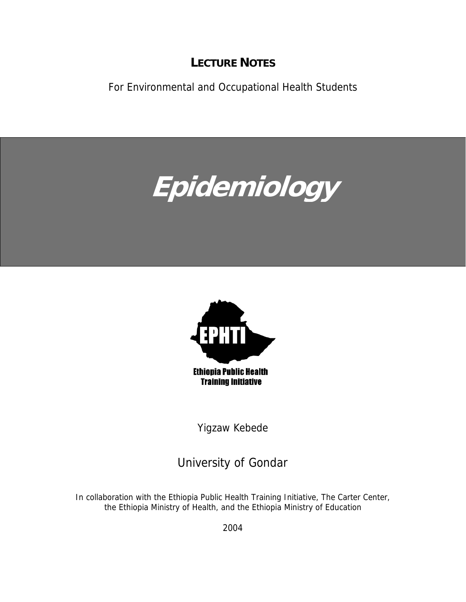# **LECTURE NOTES**

For Environmental and Occupational Health Students

# **Epidemiology**



**Ethiopia Public Health Training Initiative** 

Yigzaw Kebede

University of Gondar

In collaboration with the Ethiopia Public Health Training Initiative, The Carter Center, the Ethiopia Ministry of Health, and the Ethiopia Ministry of Education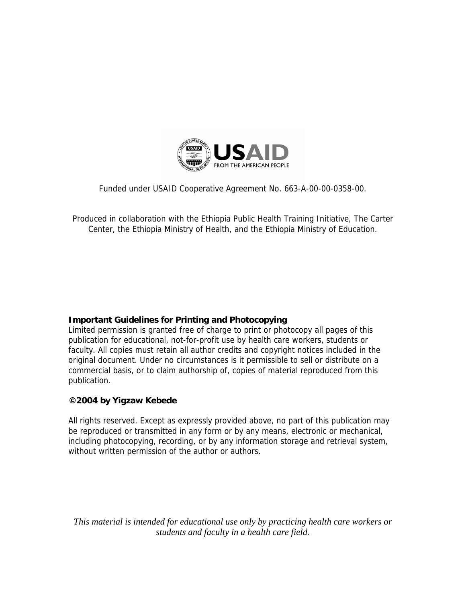

Funded under USAID Cooperative Agreement No. 663-A-00-00-0358-00.

Produced in collaboration with the Ethiopia Public Health Training Initiative, The Carter Center, the Ethiopia Ministry of Health, and the Ethiopia Ministry of Education.

## **Important Guidelines for Printing and Photocopying**

Limited permission is granted free of charge to print or photocopy all pages of this publication for educational, not-for-profit use by health care workers, students or faculty. All copies must retain all author credits and copyright notices included in the original document. Under no circumstances is it permissible to sell or distribute on a commercial basis, or to claim authorship of, copies of material reproduced from this publication.

## **©2004 by Yigzaw Kebede**

All rights reserved. Except as expressly provided above, no part of this publication may be reproduced or transmitted in any form or by any means, electronic or mechanical, including photocopying, recording, or by any information storage and retrieval system, without written permission of the author or authors.

*This material is intended for educational use only by practicing health care workers or students and faculty in a health care field.*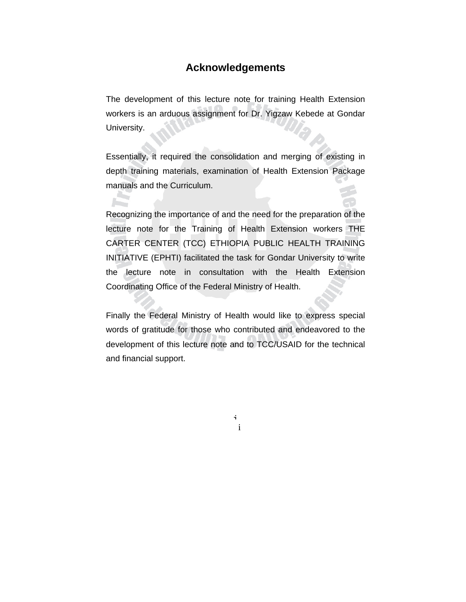# **Acknowledgements**

The development of this lecture note for training Health Extension workers is an arduous assignment for Dr. Yigzaw Kebede at Gondar University.

Essentially, it required the consolidation and merging of existing in depth training materials, examination of Health Extension Package manuals and the Curriculum.

**A** 

Recognizing the importance of and the need for the preparation of the lecture note for the Training of Health Extension workers THE CARTER CENTER (TCC) ETHIOPIA PUBLIC HEALTH TRAINING INITIATIVE (EPHTI) facilitated the task for Gondar University to write the lecture note in consultation with the Health Extension Coordinating Office of the Federal Ministry of Health.

Finally the Federal Ministry of Health would like to express special words of gratitude for those who contributed and endeavored to the development of this lecture note and to TCC/USAID for the technical and financial support.

i

i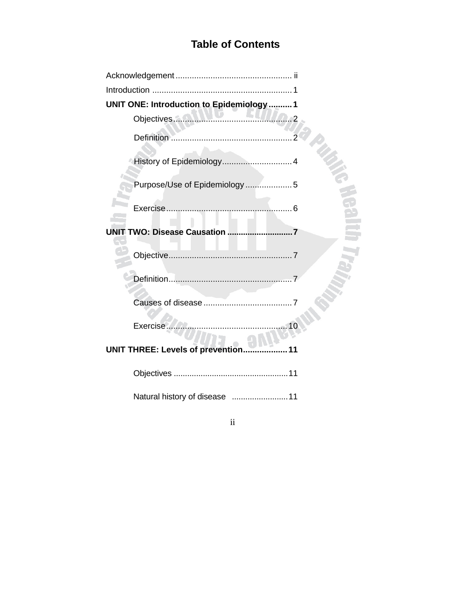# **Table of Contents**

| UNIT ONE: Introduction to Epidemiology1 |  |
|-----------------------------------------|--|
|                                         |  |
|                                         |  |
|                                         |  |
| Purpose/Use of Epidemiology5            |  |
|                                         |  |
|                                         |  |
|                                         |  |
|                                         |  |
|                                         |  |
| Exercise<br>10                          |  |
| UNIT THREE: Levels of prevention        |  |
|                                         |  |
| Natural history of disease 11           |  |

ii ii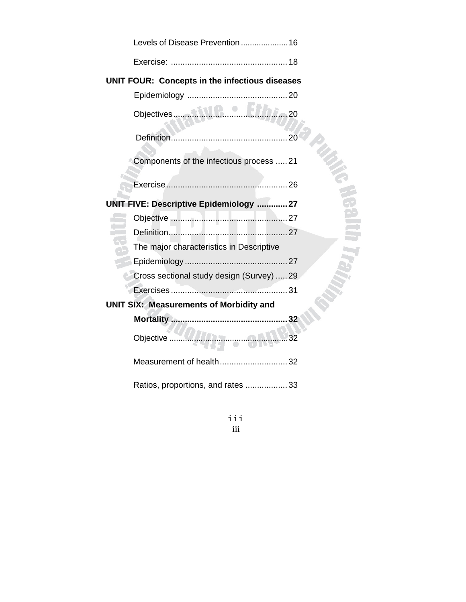|                                                | Levels of Disease Prevention  16               |             |  |  |
|------------------------------------------------|------------------------------------------------|-------------|--|--|
|                                                |                                                |             |  |  |
|                                                | UNIT FOUR: Concepts in the infectious diseases |             |  |  |
|                                                |                                                |             |  |  |
|                                                |                                                | 20          |  |  |
|                                                |                                                |             |  |  |
|                                                | Components of the infectious process 21        |             |  |  |
|                                                |                                                |             |  |  |
|                                                | UNIT FIVE: Descriptive Epidemiology  27        |             |  |  |
|                                                |                                                |             |  |  |
|                                                |                                                |             |  |  |
|                                                | The major characteristics in Descriptive       |             |  |  |
|                                                |                                                |             |  |  |
|                                                | Cross sectional study design (Survey)  29      |             |  |  |
|                                                |                                                |             |  |  |
| <b>UNIT SIX: Measurements of Morbidity and</b> |                                                |             |  |  |
|                                                |                                                | 32          |  |  |
|                                                | Objective                                      | $\ldots$ 32 |  |  |
|                                                | Measurement of health32                        |             |  |  |
|                                                | Ratios, proportions, and rates  33             |             |  |  |

iii iii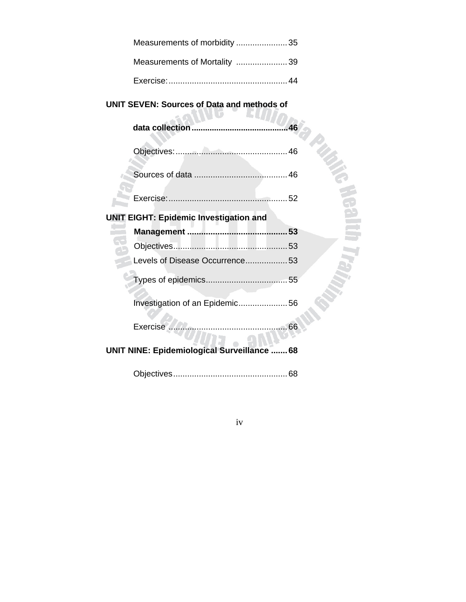| Measurements of morbidity 35 |  |
|------------------------------|--|
| Measurements of Mortality 39 |  |
|                              |  |

# **UNIT SEVEN: Sources of Data and methods of**

| data collection                                    | .46 |
|----------------------------------------------------|-----|
|                                                    |     |
|                                                    |     |
|                                                    |     |
| <b>UNIT EIGHT: Epidemic Investigation and</b>      |     |
|                                                    |     |
|                                                    |     |
| Levels of Disease Occurrence 53                    |     |
|                                                    |     |
| Investigation of an Epidemic56                     |     |
|                                                    |     |
| <b>UNIT NINE: Epidemiological Surveillance  68</b> |     |
|                                                    |     |

iv iv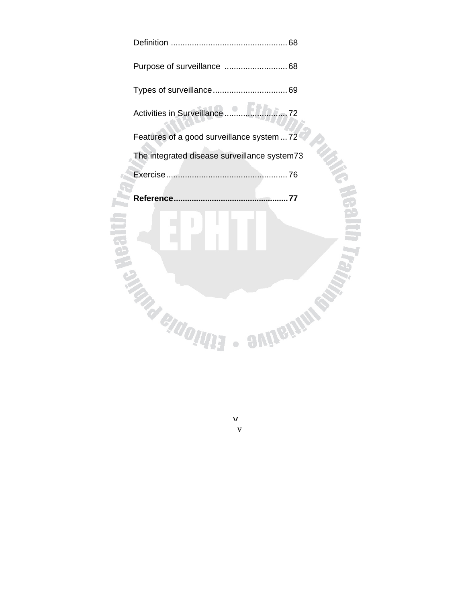| $1.1107 - 72$<br>Activities in Surveillance  |
|----------------------------------------------|
| Features of a good surveillance system  72   |
| The integrated disease surveillance system73 |
|                                              |
| Reference<br>.77                             |
| <b>ELGIONE</b><br>ennen                      |

v

v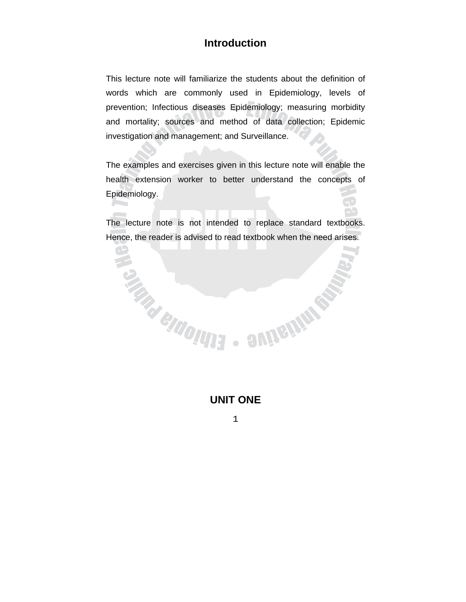# **Introduction**

This lecture note will familiarize the students about the definition of words which are commonly used in Epidemiology, levels of prevention; Infectious diseases Epidemiology; measuring morbidity and mortality; sources and method of data collection; Epidemic investigation and management; and Surveillance.

The examples and exercises given in this lecture note will enable the health extension worker to better understand the concepts of Epidemiology.

The lecture note is not intended to replace standard textbooks. Hence, the reader is advised to read textbook when the need arises.

# **UNIT ONE**

 $\begin{array}{c} \bullet \\ \bullet \end{array}$ 

**SUITEILIN REA** 

**SIRRICATES**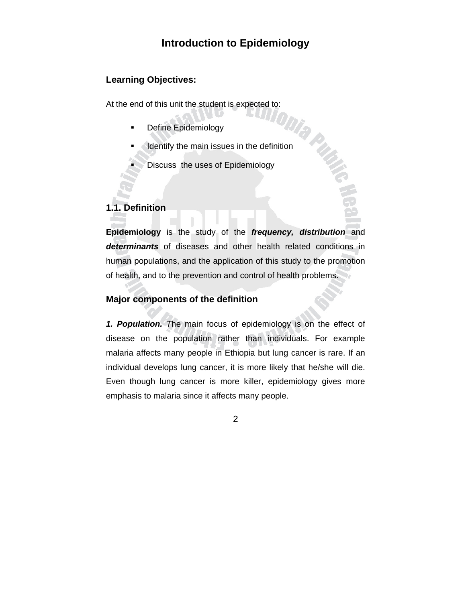# **Introduction to Epidemiology**

#### **Learning Objectives:**

At the end of this unit the student is expected to:<br>
• Define Epidemiology<br>
• main issues in the definition<br>
• main issues in the definition<br>
• inlogy

- Define Epidemiology
- Identify the main issues in the definition
	- Discuss the uses of Epidemiology

## **1.1. Definition**

**Epidemiology** is the study of the *frequency, distribution* and *determinants* of diseases and other health related conditions in human populations, and the application of this study to the promotion of health, and to the prevention and control of health problems.

#### **Major components of the definition**

*1. Population. T*he main focus of epidemiology is on the effect of disease on the population rather than individuals. For example malaria affects many people in Ethiopia but lung cancer is rare. If an individual develops lung cancer, it is more likely that he/she will die. Even though lung cancer is more killer, epidemiology gives more emphasis to malaria since it affects many people.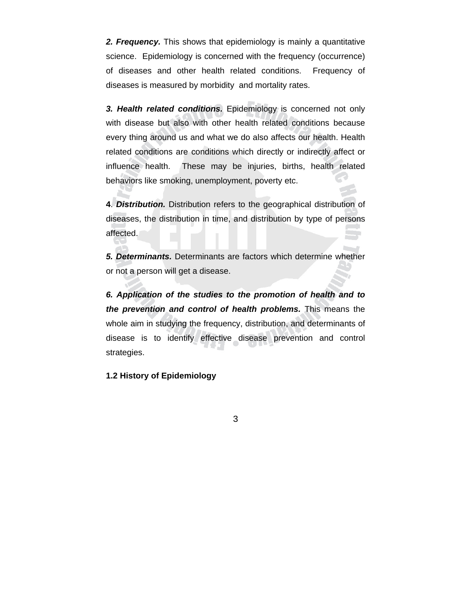*2. Frequency.* This shows that epidemiology is mainly a quantitative science. Epidemiology is concerned with the frequency (occurrence) of diseases and other health related conditions. Frequency of diseases is measured by morbidity and mortality rates.

*3. Health related conditions.* Epidemiology is concerned not only with disease but also with other health related conditions because every thing around us and what we do also affects our health. Health related conditions are conditions which directly or indirectly affect or influence health. These may be injuries, births, health related behaviors like smoking, unemployment, poverty etc.

**4**. *Distribution.* Distribution refers to the geographical distribution of diseases, the distribution in time, and distribution by type of persons affected.

*5. Determinants.* Determinants are factors which determine whether or not a person will get a disease.

*6. Application of the studies to the promotion of health and to the prevention and control of health problems.* This means the whole aim in studying the frequency, distribution, and determinants of disease is to identify effective disease prevention and control strategies.

**1.2 History of Epidemiology**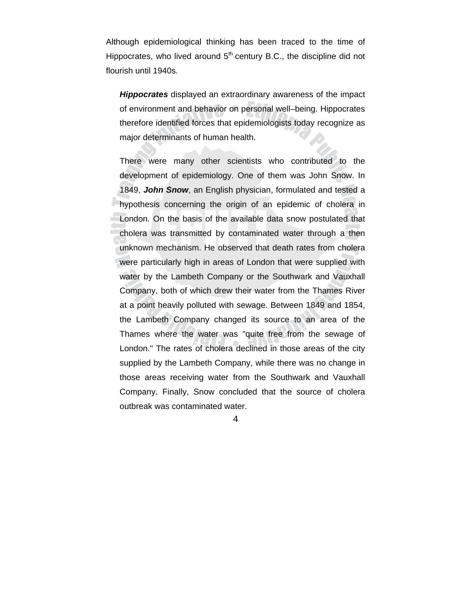Although epidemiological thinking has been traced to the time of Hippocrates, who lived around  $5<sup>th</sup>$  century B.C., the discipline did not flourish until 1940s*.* 

*Hippocrates* displayed an extraordinary awareness of the impact of environment and behavior on personal well–being. Hippocrates therefore identified forces that epidemiologists today recognize as major determinants of human health.

There were many other scientists who contributed to the development of epidemiology. One of them was John Snow. In 1849, *John Snow*, an English physician, formulated and tested a hypothesis concerning the origin of an epidemic of cholera in London. On the basis of the available data snow postulated that cholera was transmitted by contaminated water through a then unknown mechanism. He observed that death rates from cholera were particularly high in areas of London that were supplied with water by the Lambeth Company or the Southwark and Vauxhall Company, both of which drew their water from the Thames River at a point heavily polluted with sewage. Between 1849 and 1854, the Lambeth Company changed its source to an area of the Thames where the water was "quite free from the sewage of London." The rates of cholera declined in those areas of the city supplied by the Lambeth Company, while there was no change in those areas receiving water from the Southwark and Vauxhall Company. Finally, Snow concluded that the source of cholera outbreak was contaminated water.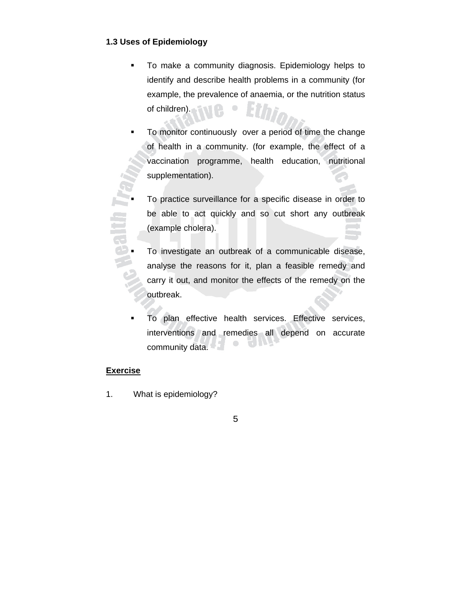#### **1.3 Uses of Epidemiology**

- To make a community diagnosis. Epidemiology helps to identify and describe health problems in a community (for example, the prevalence of anaemia, or the nutrition status of children).  $\bullet$
- To monitor continuously over a period of time the change of health in a community. (for example, the effect of a vaccination programme, health education, nutritional supplementation).
- To practice surveillance for a specific disease in order to be able to act quickly and so cut short any outbreak (example cholera).
- To investigate an outbreak of a communicable disease, analyse the reasons for it, plan a feasible remedy and carry it out, and monitor the effects of the remedy on the outbreak.
- To plan effective health services. Effective services, interventions and remedies all depend on accurate  $\bullet$  $\blacksquare$ community data.

#### **Exercise**

- 1. What is epidemiology?
- 5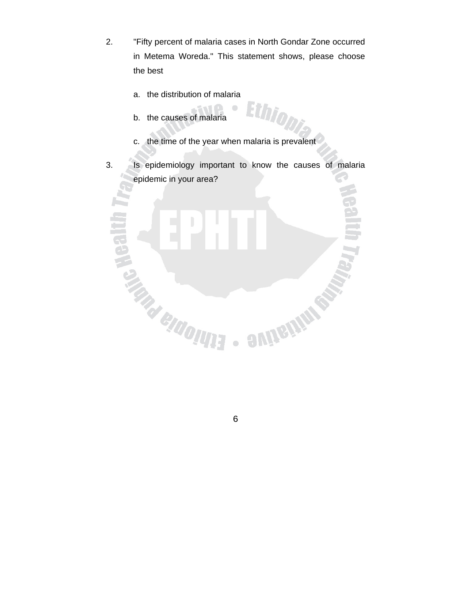2. "Fifty percent of malaria cases in North Gondar Zone occurred in Metema Woreda." This statement shows, please choose the best

 $\begin{array}{c} \bullet \\ \bullet \end{array}$ 

Ethiopi

**SUITEILINES** 

- a. the distribution of malaria
- b. the causes of malaria

**MARIADIUNE** 

- c. the time of the year when malaria is prevalent
- 3. Is epidemiology important to know the causes of malaria epidemic in your area?



 $\begin{array}{c} \bullet \\ \bullet \end{array}$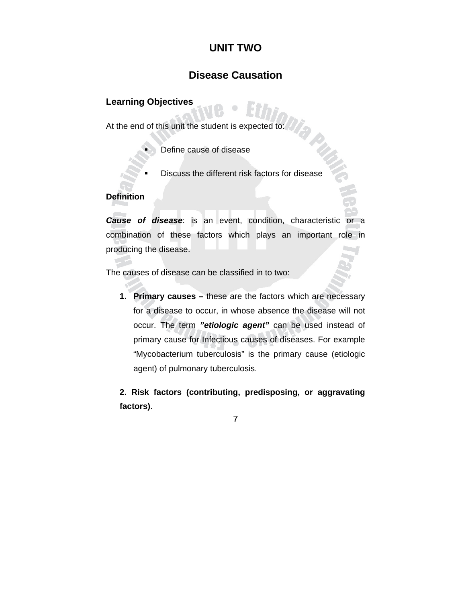# **UNIT TWO**

# **Disease Causation**

#### **Learning Objectives**

At the end of this unit the student is expected to:

- Define cause of disease
- Discuss the different risk factors for disease

#### **Definition**

*Cause of disease*: is an event, condition, characteristic or a combination of these factors which plays an important role in producing the disease.

The causes of disease can be classified in to two:

**1. Primary causes –** these are the factors which are necessary for a disease to occur, in whose absence the disease will not occur. The term *"etiologic agent"* can be used instead of primary cause for Infectious causes of diseases. For example "Mycobacterium tuberculosis" is the primary cause (etiologic agent) of pulmonary tuberculosis.

**2. Risk factors (contributing, predisposing, or aggravating factors)**.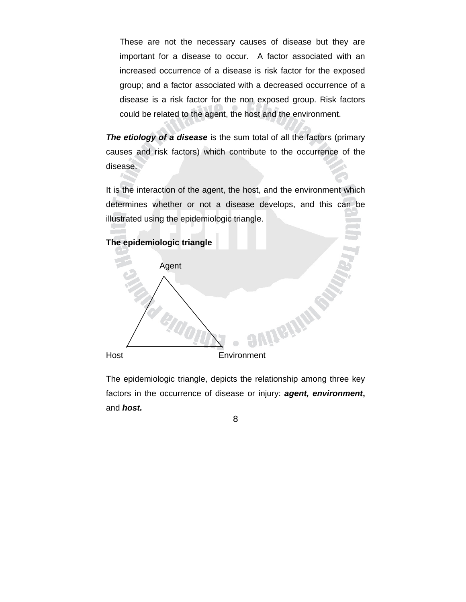These are not the necessary causes of disease but they are important for a disease to occur. A factor associated with an increased occurrence of a disease is risk factor for the exposed group; and a factor associated with a decreased occurrence of a disease is a risk factor for the non exposed group. Risk factors could be related to the agent, the host and the environment.

*The etiology of a disease* is the sum total of all the factors (primary causes and risk factors) which contribute to the occurrence of the disease.

It is the interaction of the agent, the host, and the environment which determines whether or not a disease develops, and this can be illustrated using the epidemiologic triangle.



The epidemiologic triangle, depicts the relationship among three key factors in the occurrence of disease or injury: *agent, environment***,** and *host.*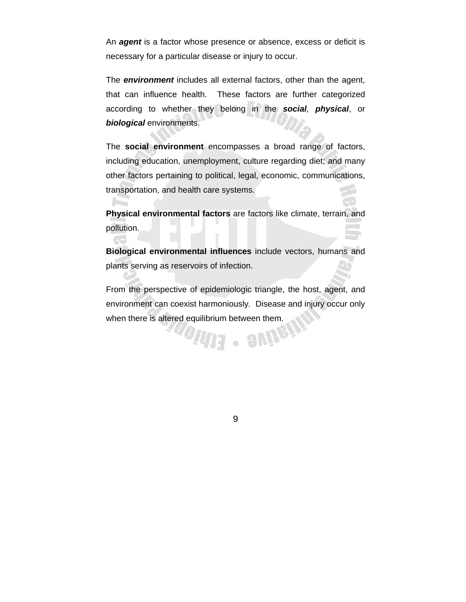An *agent* is a factor whose presence or absence, excess or deficit is necessary for a particular disease or injury to occur.

The *environment* includes all external factors, other than the agent, that can influence health. These factors are further categorized according to whether they belong in the *social, physical*, or *biological* environments.

The **social environment** encompasses a broad range of factors, including education, unemployment, culture regarding diet; and many other factors pertaining to political, legal, economic, communications, transportation, and health care systems.

**Physical environmental factors** are factors like climate, terrain, and pollution.

**Andre** 

**Biological environmental influences** include vectors, humans and plants serving as reservoirs of infection.

From the perspective of epidemiologic triangle, the host, agent, and environment can coexist harmoniously*.* Disease and injury occur only when there is altered equilibrium between them.

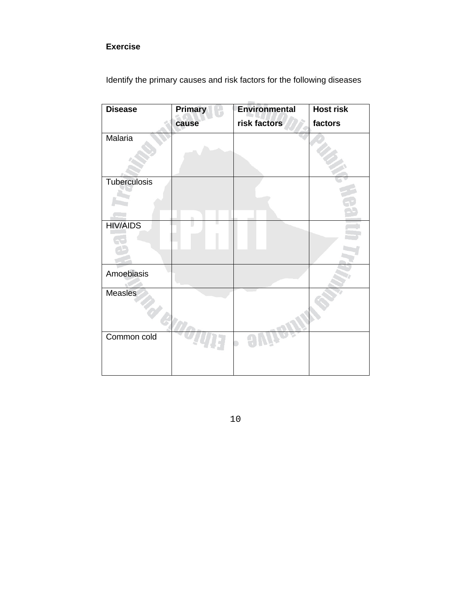# **Exercise**

| <b>Disease</b>  | <b>Primary</b> | <b>Environmental</b> | <b>Host risk</b> |
|-----------------|----------------|----------------------|------------------|
|                 | cause          | risk factors         | factors          |
| Malaria         |                |                      |                  |
| Tuberculosis    | m              |                      |                  |
| <b>HIV/AIDS</b> |                |                      |                  |
| Amoebiasis      |                |                      |                  |
| <b>Measles</b>  |                |                      |                  |
| Common cold     |                |                      |                  |

Identify the primary causes and risk factors for the following diseases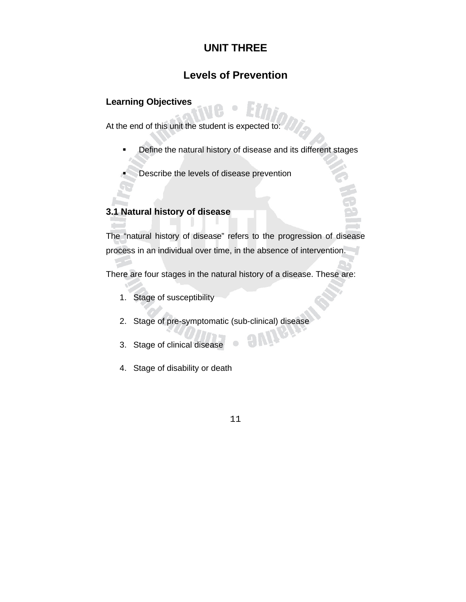# **UNIT THREE**

# **Levels of Prevention**

### **Learning Objectives**

At the end of this unit the student is expected to:

- Define the natural history of disease and its different stages
- Describe the levels of disease prevention

## **3.1 Natural history of disease**

The "natural history of disease" refers to the progression of disease process in an individual over time, in the absence of intervention.

There are four stages in the natural history of a disease. These are:

- 1. Stage of susceptibility
- 2. Stage of pre-symptomatic (sub-clinical) disease
- 3. Stage of clinical disease
- 4. Stage of disability or death
	- 11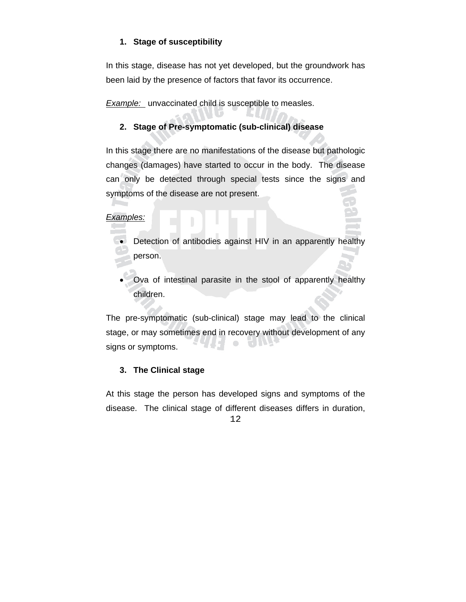#### **1. Stage of susceptibility**

In this stage, disease has not yet developed, but the groundwork has been laid by the presence of factors that favor its occurrence.

**Example:** unvaccinated child is susceptible to measles.

## **2. Stage of Pre-symptomatic (sub-clinical) disease**

In this stage there are no manifestations of the disease but pathologic changes (damages) have started to occur in the body. The disease can only be detected through special tests since the signs and symptoms of the disease are not present.

#### *Examples:*

- Detection of antibodies against HIV in an apparently healthy person.
- Ova of intestinal parasite in the stool of apparently healthy children.

The pre-symptomatic (sub-clinical) stage may lead to the clinical stage, or may sometimes end in recovery without development of any  $\begin{array}{c} \bullet \\ \bullet \end{array}$  $\blacksquare$ signs or symptoms.

## **3. The Clinical stage**

At this stage the person has developed signs and symptoms of the disease. The clinical stage of different diseases differs in duration,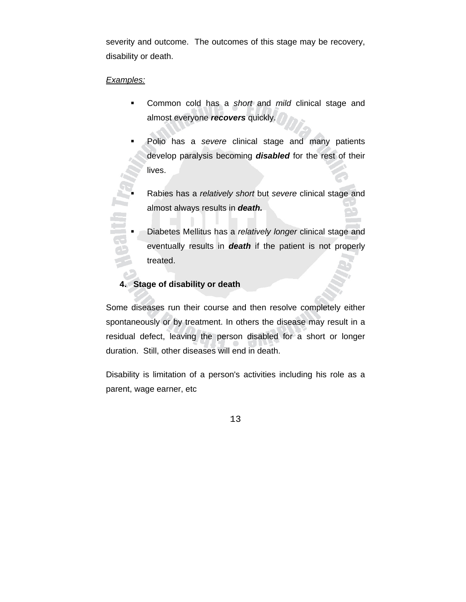severity and outcome. The outcomes of this stage may be recovery, disability or death.

#### *Examples:*

- Common cold has a *short* and *mild* clinical stage and almost everyone *recovers* quickly.
- Polio has a *severe* clinical stage and many patients develop paralysis becoming *disabled* for the rest of their lives.
- Rabies has a *relatively short* but *severe* clinical stage and<br>almost always results in **death.**<br>Almost always and the completively length clinical stage and almost always results in *death.*
	- Diabetes Mellitus has a *relatively longer* clinical stage and eventually results in *death* if the patient is not properly treated.

#### **4. Stage of disability or death**

Some diseases run their course and then resolve completely either spontaneously or by treatment. In others the disease may result in a residual defect, leaving the person disabled for a short or longer duration. Still, other diseases will end in death.

Disability is limitation of a person's activities including his role as a parent, wage earner, etc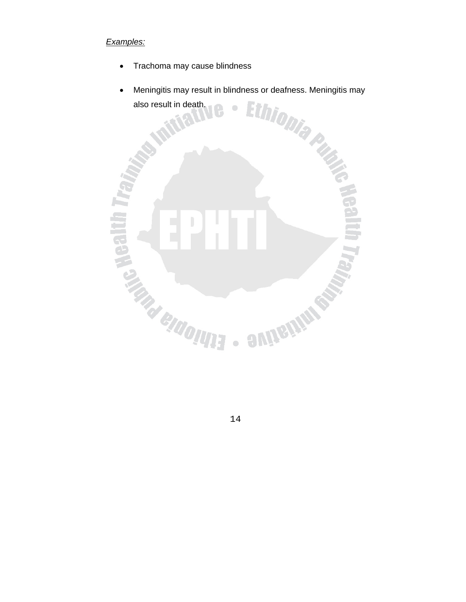## *Examples:*

- Trachoma may cause blindness
- also result in death.  $\bullet$

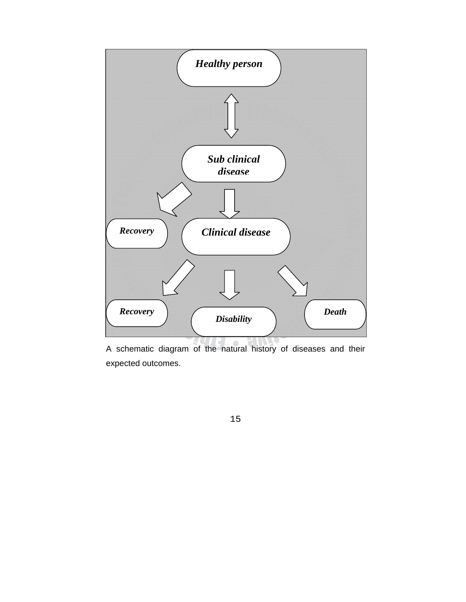

A schematic diagram of the natural history of diseases and their expected outcomes.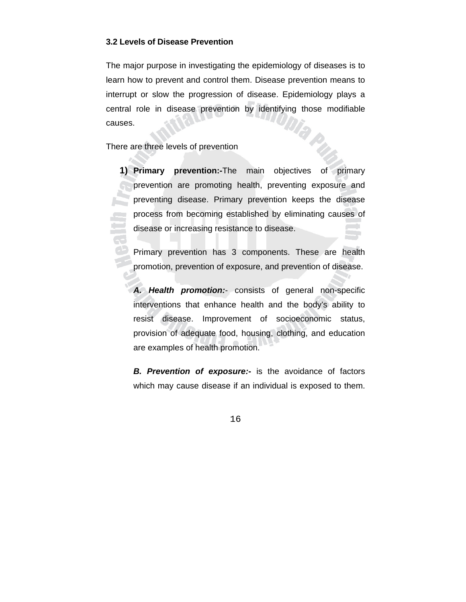#### **3.2 Levels of Disease Prevention**

The major purpose in investigating the epidemiology of diseases is to learn how to prevent and control them. Disease prevention means to interrupt or slow the progression of disease. Epidemiology plays a central role in disease prevention by identifying those modifiable Dia p causes.

There are three levels of prevention

**1) Primary prevention:-**The main objectives of primary prevention are promoting health, preventing exposure and preventing disease. Primary prevention keeps the disease process from becoming established by eliminating causes of disease or increasing resistance to disease.

Primary prevention has 3 components. These are health promotion, prevention of exposure, and prevention of disease.

*A. Health promotion:*- consists of general non-specific interventions that enhance health and the body's ability to resist disease. Improvement of socioeconomic status, provision of adequate food, housing, clothing, and education are examples of health promotion.

*B. Prevention of exposure:***-** is the avoidance of factors which may cause disease if an individual is exposed to them.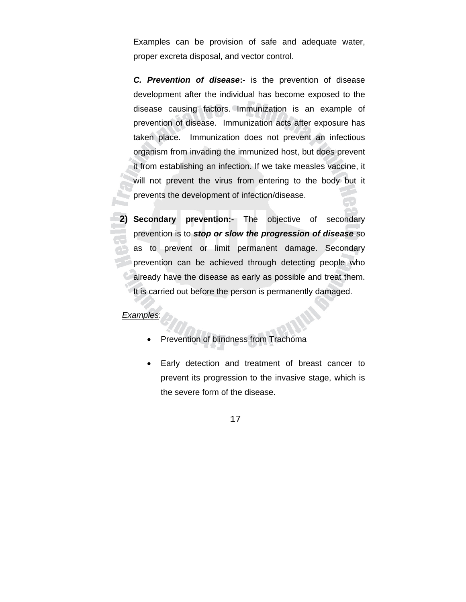Examples can be provision of safe and adequate water, proper excreta disposal, and vector control.

*C. Prevention of disease***:-** is the prevention of disease development after the individual has become exposed to the disease causing factors. Immunization is an example of prevention of disease. Immunization acts after exposure has taken place. Immunization does not prevent an infectious organism from invading the immunized host, but does prevent it from establishing an infection. If we take measles vaccine, it will not prevent the virus from entering to the body but it prevents the development of infection/disease.

**2) Secondary prevention:-** The objective of secondary prevention is to *stop or slow the progression of disease* so as to prevent or limit permanent damage. Secondary prevention can be achieved through detecting people who already have the disease as early as possible and treat them. It is carried out before the person is permanently damaged.

#### *Examples*:

- Prevention of blindness from Trachoma
- Early detection and treatment of breast cancer to prevent its progression to the invasive stage, which is the severe form of the disease.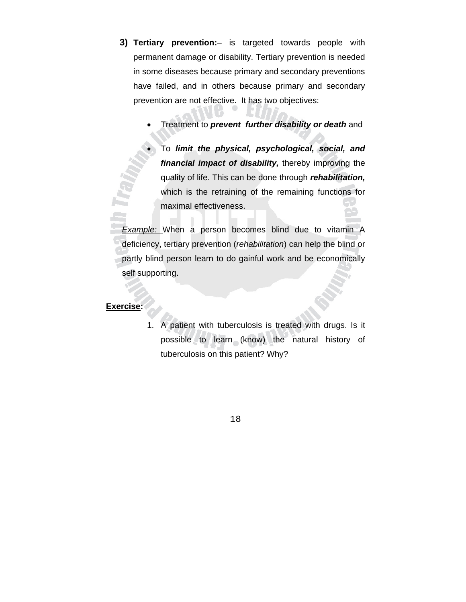- **3) Tertiary prevention:** is targeted towards people with permanent damage or disability. Tertiary prevention is needed in some diseases because primary and secondary preventions have failed, and in others because primary and secondary prevention are not effective. It has two objectives:
	- Treatment to *prevent further disability or death* and
	- To *limit the physical, psychological, social, and financial impact of disability,* thereby improving the quality of life. This can be done through *rehabilitation,* which is the retraining of the remaining functions for maximal effectiveness.

*Example:* When a person becomes blind due to vitamin A deficiency, tertiary prevention (*rehabilitation*) can help the blind or partly blind person learn to do gainful work and be economically self supporting.

#### **Exercise:**

1. A patient with tuberculosis is treated with drugs. Is it possible to learn (know) the natural history of tuberculosis on this patient? Why?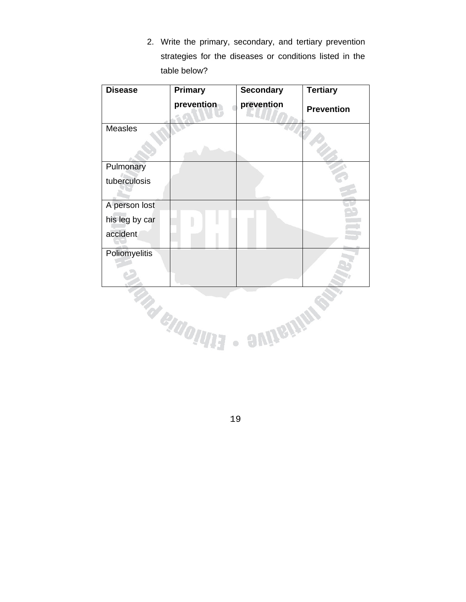2. Write the primary, secondary, and tertiary prevention strategies for the diseases or conditions listed in the table below?

| <b>Disease</b>       | Primary     | <b>Secondary</b> | <b>Tertiary</b>   |
|----------------------|-------------|------------------|-------------------|
|                      | prevention  | prevention       | <b>Prevention</b> |
| <b>Measles</b>       |             |                  |                   |
| Pulmonary            |             |                  |                   |
| tuberculosis         |             |                  |                   |
| A person lost        |             |                  |                   |
| his leg by car       |             |                  |                   |
| accident             |             |                  |                   |
| <b>Poliomyelitis</b> |             |                  |                   |
|                      | a elaolilli | <b>auners</b>    |                   |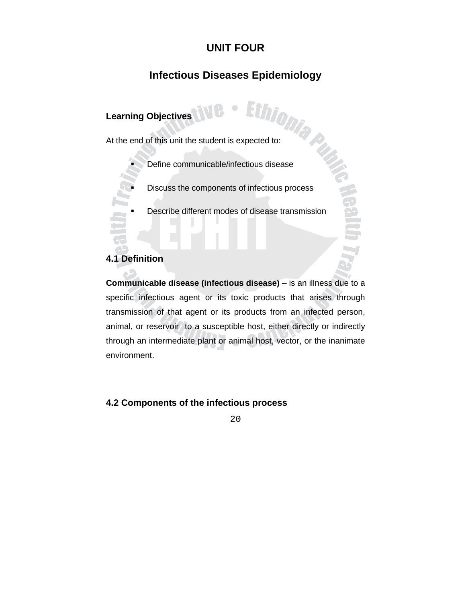# **UNIT FOUR**

# **Infectious Diseases Epidemiology**

# **Learning Objectives**

Learning Objectives<br>At the end of this unit the student is expected to:<br>At the end of this unit the student is expected to:

- Define communicable/infectious disease
- Discuss the components of infectious process
- Describe different modes of disease transmission

#### **4.1 Definition**

**Communicable disease (infectious disease)** – is an illness due to a specific infectious agent or its toxic products that arises through transmission of that agent or its products from an infected person, animal, or reservoir to a susceptible host, either directly or indirectly through an intermediate plant or animal host, vector, or the inanimate environment.

#### **4.2 Components of the infectious process**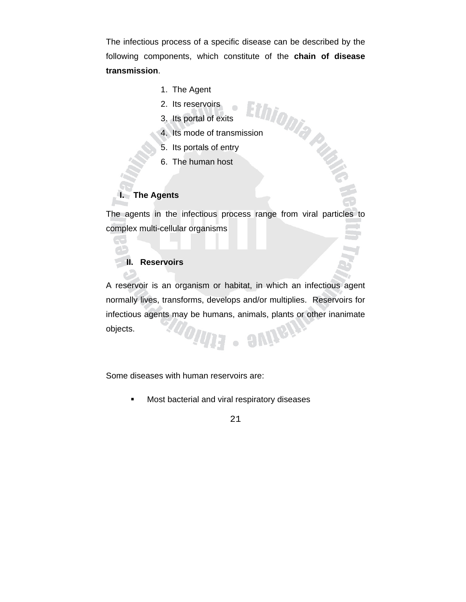The infectious process of a specific disease can be described by the following components, which constitute of the **chain of disease transmission**.

- 1. The Agent
- 2. Its reservoirs
- 3. Its portal of exits
- 1. The  $H_y$ -<br>
2. Its reservoirs<br>
3. Its portal of exits<br>
4. Its mode of transmission<br>  $\begin{bmatrix}\n\cdot & \cdot & \cdot \\
\cdot & \cdot & \cdot \\
\cdot & \cdot & \cdot\n\end{bmatrix}$
- 5. Its portals of entry
- 6. The human host

#### **I. The Agents**

The agents in the infectious process range from viral particles to complex multi-cellular organisms

## **II. Reservoirs**

A reservoir is an organism or habitat, in which an infectious agent normally lives, transforms, develops and/or multiplies. Reservoirs for infectious agents may be humans, animals, plants or other inanimate objects. **any** 

 $\bullet$ 

Some diseases with human reservoirs are:

**Most bacterial and viral respiratory diseases** 

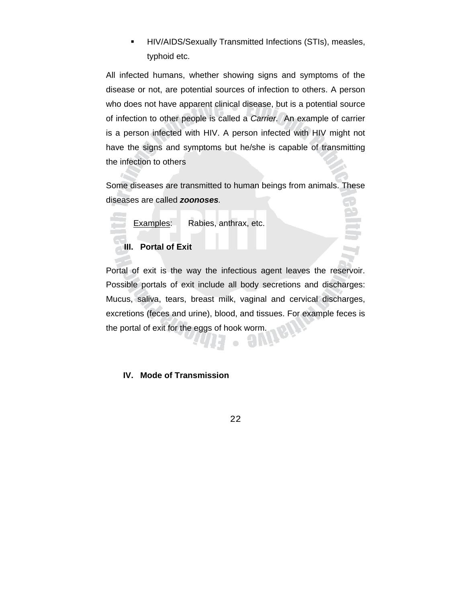**HIV/AIDS/Sexually Transmitted Infections (STIs), measles,** typhoid etc.

All infected humans, whether showing signs and symptoms of the disease or not, are potential sources of infection to others. A person who does not have apparent clinical disease, but is a potential source of infection to other people is called a *Carrier.* An example of carrier is a person infected with HIV. A person infected with HIV might not have the signs and symptoms but he/she is capable of transmitting the infection to others

Some diseases are transmitted to human beings from animals. These diseases are called *zoonoses.* 

Examples: Rabies, anthrax, etc.

## **III. Portal of Exit**

Portal of exit is the way the infectious agent leaves the reservoir. Possible portals of exit include all body secretions and discharges: Mucus, saliva, tears, breast milk, vaginal and cervical discharges, excretions (feces and urine), blood, and tissues. For example feces is the portal of exit for the eggs of hook worm.

## **IV. Mode of Transmission**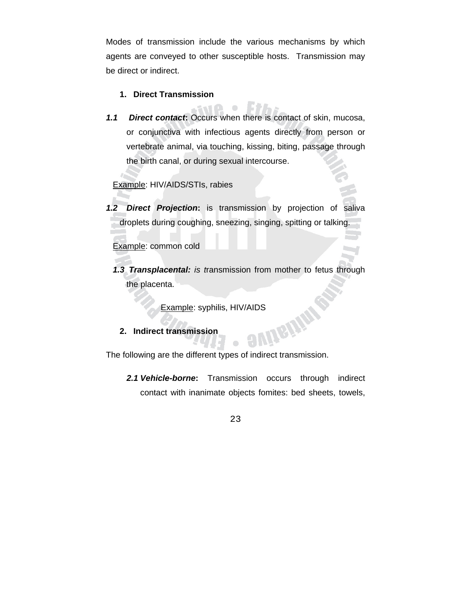Modes of transmission include the various mechanisms by which agents are conveyed to other susceptible hosts. Transmission may be direct or indirect.

#### **1. Direct Transmission**

*1.1 Direct contact***:** Occurs when there is contact of skin, mucosa, or conjunctiva with infectious agents directly from person or vertebrate animal, via touching, kissing, biting, passage through the birth canal, or during sexual intercourse.

 $\color{red} \bullet$ 

Example: HIV/AIDS/STIs, rabies

*1.2 Direct Projection***:** is transmission by projection of saliva droplets during coughing, sneezing, singing, spitting or talking.

Example: common cold

*1.3 Transplacental: is t*ransmission from mother to fetus through the placenta.

Example: syphilis, HIV/AIDS<br>t transmission

#### **2. Indirect transmission**

The following are the different types of indirect transmission.

*2.1 Vehicle-borne***:** Transmission occurs through indirect contact with inanimate objects fomites: bed sheets, towels,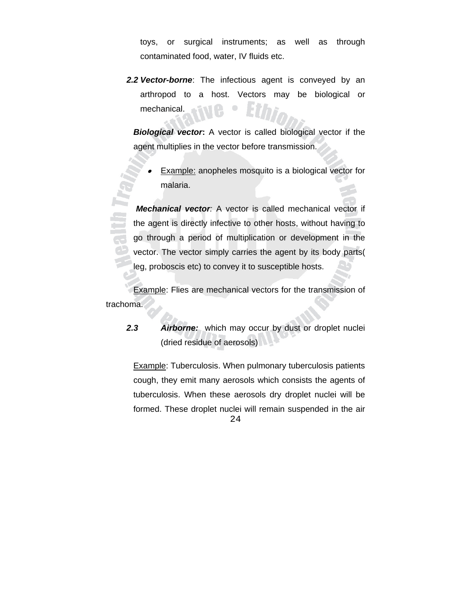toys, or surgical instruments; as well as through contaminated food, water, IV fluids etc.

*2.2 Vector-borne*: The infectious agent is conveyed by an arthropod to a host. Vectors may be biological or mechanical.

*Biological vector***:** A vector is called biological vector if the agent multiplies in the vector before transmission.

• Example: anopheles mosquito is a biological vector for malaria.

 *Mechanical vector:* A vector is called mechanical vector if the agent is directly infective to other hosts, without having to go through a period of multiplication or development in the vector. The vector simply carries the agent by its body parts( leg, proboscis etc) to convey it to susceptible hosts.

 Example: Flies are mechanical vectors for the transmission of trachoma.

 $\overline{\mathbf{a}}$ 

*2.3 Airborne:* which may occur by dust or droplet nuclei (dried residue of aerosols)

 Example: Tuberculosis. When pulmonary tuberculosis patients cough, they emit many aerosols which consists the agents of tuberculosis. When these aerosols dry droplet nuclei will be formed. These droplet nuclei will remain suspended in the air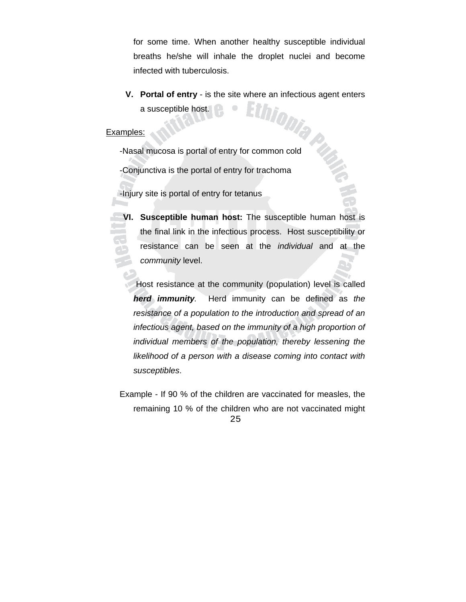for some time. When another healthy susceptible individual breaths he/she will inhale the droplet nuclei and become infected with tuberculosis.

**V. Portal of entry** - is the site where an infectious agent enters a susceptible host.

#### Examples:

-Nasal mucosa is portal of entry for common cold

-Conjunctiva is the portal of entry for trachoma

-Injury site is portal of entry for tetanus

**VI. Susceptible human host:** The susceptible human host is the final link in the infectious process. Host susceptibility or resistance can be seen at the *individual* and at the *community* level.

 Host resistance at the community (population) level is called *herd immunity.* Herd immunity can be defined as *the resistance of a population to the introduction and spread of an infectious agent, based on the immunity of a high proportion of individual members of the population, thereby lessening the likelihood of a person with a disease coming into contact with susceptibles*.

25 Example - If 90 % of the children are vaccinated for measles, the remaining 10 % of the children who are not vaccinated might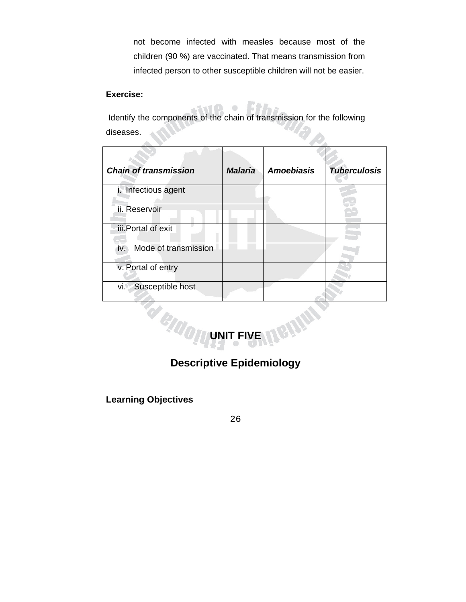not become infected with measles because most of the children (90 %) are vaccinated. That means transmission from infected person to other susceptible children will not be easier.

#### **Exercise:**

 Identify the components of the chain of transmission for the following H diseases.  $\blacktriangle$ 

| <b>Chain of transmission</b> | <b>Malaria</b> | <b>Amoebiasis</b> | <b>Tuberculosis</b> |
|------------------------------|----------------|-------------------|---------------------|
| i. Infectious agent          |                |                   |                     |
| ii. Reservoir                |                |                   |                     |
| iii. Portal of exit          |                |                   |                     |
| Mode of transmission<br>iv.  |                |                   |                     |
| v. Portal of entry           |                |                   |                     |
| Susceptible host<br>vi.      |                |                   |                     |



# **Descriptive Epidemiology**

**Learning Objectives**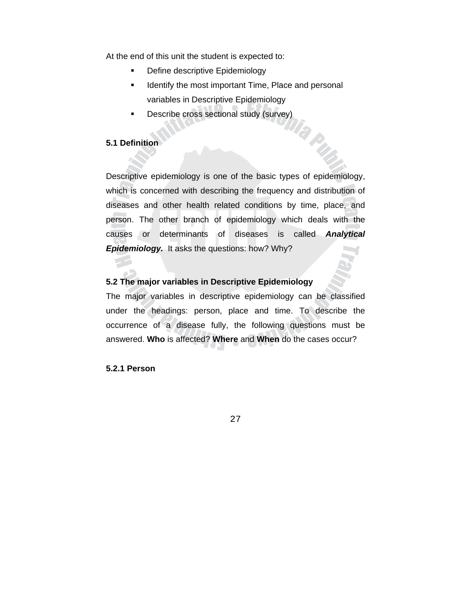At the end of this unit the student is expected to:

- **•** Define descriptive Epidemiology
- **If** Identify the most important Time, Place and personal variables in Descriptive Epidemiology

9

P,

**Describe cross sectional study (survey)** 

#### **5.1 Definition**

Descriptive epidemiology is one of the basic types of epidemiology, which is concerned with describing the frequency and distribution of diseases and other health related conditions by time, place, and person. The other branch of epidemiology which deals with the causes or determinants of diseases is called *Analytical Epidemiology.* It asks the questions: how? Why?

#### **5.2 The major variables in Descriptive Epidemiology**

The major variables in descriptive epidemiology can be classified under the headings: person, place and time. To describe the occurrence of a disease fully, the following questions must be answered. **Who** is affected? **Where** and **When** do the cases occur?

**5.2.1 Person**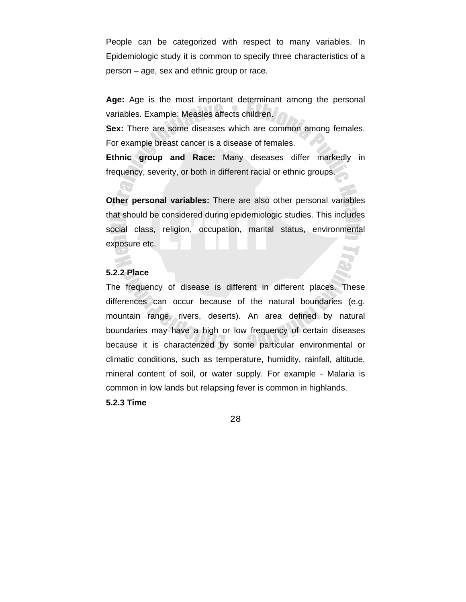People can be categorized with respect to many variables. In Epidemiologic study it is common to specify three characteristics of a person – age, sex and ethnic group or race.

**Age:** Age is the most important determinant among the personal variables. Example: Measles affects children.

**Sex:** There are some diseases which are common among females. For example breast cancer is a disease of females.

**Ethnic group and Race:** Many diseases differ markedly in frequency, severity, or both in different racial or ethnic groups.

**Other personal variables:** There are also other personal variables that should be considered during epidemiologic studies. This includes social class, religion, occupation, marital status, environmental exposure etc.

#### **5.2.2 Place**

The frequency of disease is different in different places. These differences can occur because of the natural boundaries (e.g. mountain range, rivers, deserts). An area defined by natural boundaries may have a high or low frequency of certain diseases because it is characterized by some particular environmental or climatic conditions, such as temperature, humidity, rainfall, altitude, mineral content of soil, or water supply. For example - Malaria is common in low lands but relapsing fever is common in highlands.

**5.2.3 Time**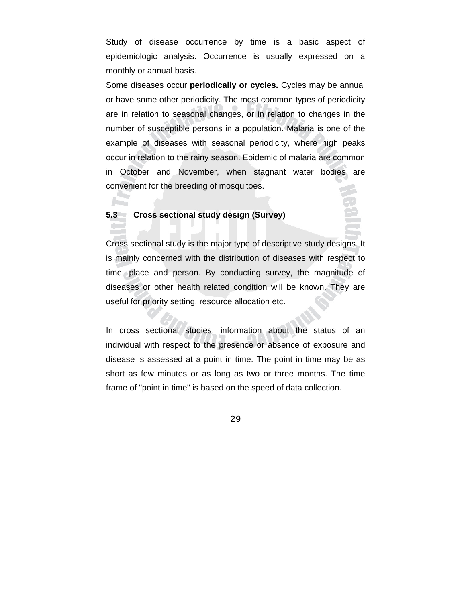Study of disease occurrence by time is a basic aspect of epidemiologic analysis. Occurrence is usually expressed on a monthly or annual basis.

Some diseases occur **periodically or cycles.** Cycles may be annual or have some other periodicity. The most common types of periodicity are in relation to seasonal changes, or in relation to changes in the number of susceptible persons in a population. Malaria is one of the example of diseases with seasonal periodicity, where high peaks occur in relation to the rainy season. Epidemic of malaria are common in October and November, when stagnant water bodies are convenient for the breeding of mosquitoes.

#### **5.3 Cross sectional study design (Survey)**

**AST** 

Cross sectional study is the major type of descriptive study designs. It is mainly concerned with the distribution of diseases with respect to time, place and person. By conducting survey, the magnitude of diseases or other health related condition will be known. They are useful for priority setting, resource allocation etc.

In cross sectional studies, information about the status of an individual with respect to the presence or absence of exposure and disease is assessed at a point in time. The point in time may be as short as few minutes or as long as two or three months. The time frame of "point in time" is based on the speed of data collection.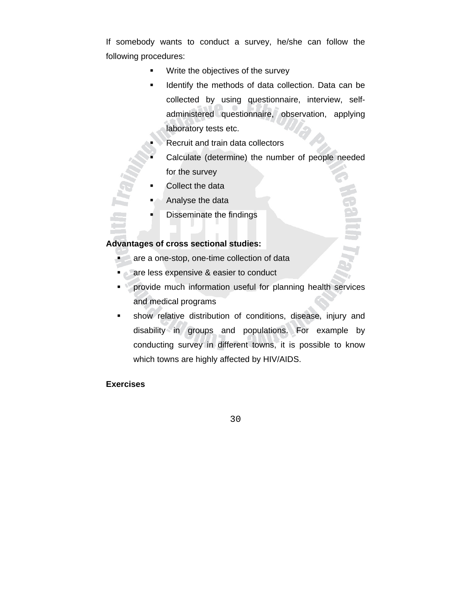If somebody wants to conduct a survey, he/she can follow the following procedures:

- **Write the objectives of the survey**
- **IDENTIFY THE METHOD IS COLLECT** DATA CAN be I collected by using questionnaire, interview, selfadministered questionnaire, observation, applying laboratory tests etc.
- Recruit and train data collectors
- Calculate (determine) the number of people needed for the survey
- Collect the data
- Analyse the data
- Disseminate the findings

#### **Advantages of cross sectional studies:**

- are a one-stop, one-time collection of data
- **are less expensive & easier to conduct**
- **Provide much information useful for planning health services** and medical programs
- show relative distribution of conditions, disease, injury and disability in groups and populations. For example by conducting survey in different towns, it is possible to know which towns are highly affected by HIV/AIDS.

### **Exercises**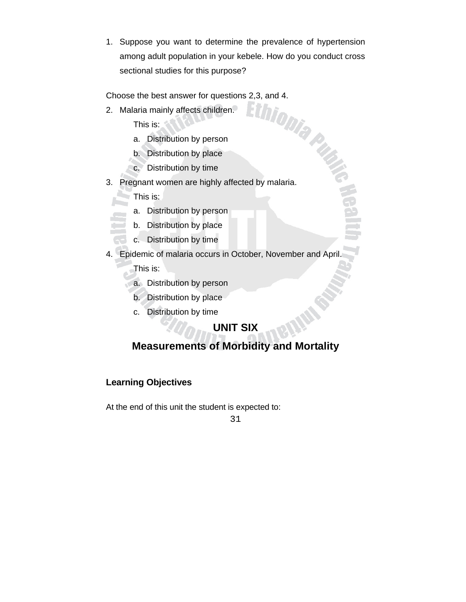1. Suppose you want to determine the prevalence of hypertension among adult population in your kebele. How do you conduct cross sectional studies for this purpose?

2. Malaria mainly affects children.

This is:

- a. Distribution by person
- b. Distribution by place
- c. Distribution by time
- Choose the best answer for questions 2,3, and 4. 3. Pregnant women are highly affected by malaria.

This is:

- a. Distribution by person
- b. Distribution by place
- c. Distribution by time
- 4. Epidemic of malaria occurs in October, November and April.

**FLEE** 

This is:

- a. Distribution by person
- b. Distribution by place
- c. Distribution by time

# **UNIT SIX**

# **Measurements of Morbidity and Mortality**

# **Learning Objectives**

At the end of this unit the student is expected to: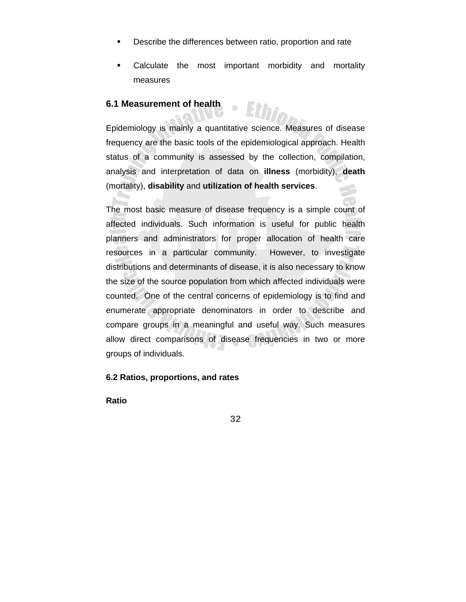- **Describe the differences between ratio, proportion and rate**
- Calculate the most important morbidity and mortality measures

# **6.1 Measurement of health**

Epidemiology is mainly a quantitative science. Measures of disease frequency are the basic tools of the epidemiological approach. Health status of a community is assessed by the collection, compilation, analysis and interpretation of data on **illness** (morbidity), **death** (mortality), **disability** and **utilization of health services**.

 $\overline{\phantom{a}}$ 

The most basic measure of disease frequency is a simple count of affected individuals. Such information is useful for public health planners and administrators for proper allocation of health care resources in a particular community. However, to investigate distributions and determinants of disease, it is also necessary to know the size of the source population from which affected individuals were counted. One of the central concerns of epidemiology is to find and enumerate appropriate denominators in order to describe and compare groups in a meaningful and useful way. Such measures allow direct comparisons of disease frequencies in two or more groups of individuals.

## **6.2 Ratios, proportions, and rates**

**Ratio**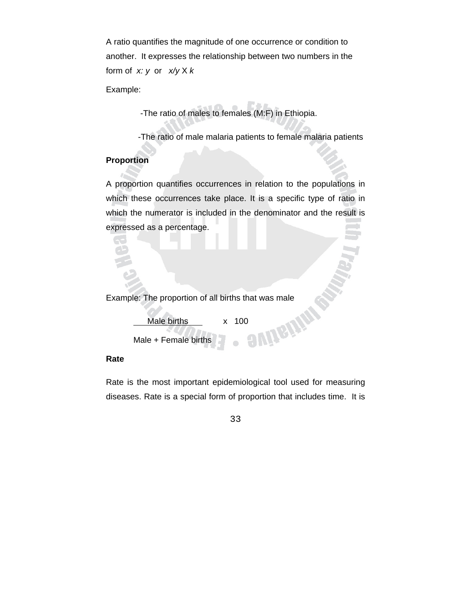A ratio quantifies the magnitude of one occurrence or condition to another. It expresses the relationship between two numbers in the form of *x: y* or *x/y* X *k*

Example:

-The ratio of males to females (M:F) in Ethiopia.

-The ratio of male malaria patients to female malaria patients

## **Proportion**

A proportion quantifies occurrences in relation to the populations in which these occurrences take place. It is a specific type of ratio in which the numerator is included in the denominator and the result is expressed as a percentage.

Example: The proportion of all births that was male<br>
Male births x 100<br>
Male + Female births Male births x 100 Male + Female births  $\bullet$ 

## **Rate**

Rate is the most important epidemiological tool used for measuring diseases. Rate is a special form of proportion that includes time. It is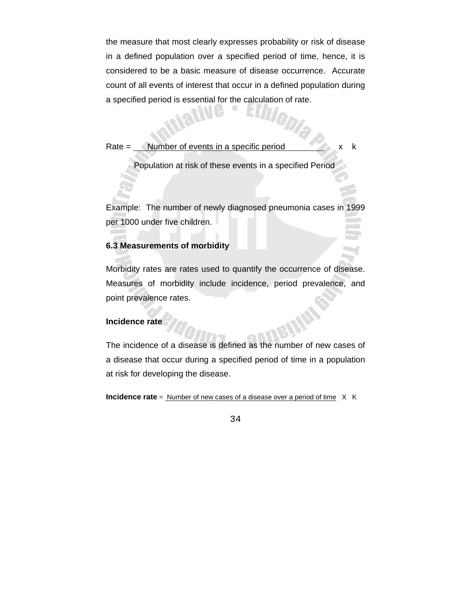the measure that most clearly expresses probability or risk of disease in a defined population over a specified period of time, hence, it is considered to be a basic measure of disease occurrence. Accurate count of all events of interest that occur in a defined population during a specified period is essential for the calculation of rate.

Rate  $=$  Number of events in a specific period  $\begin{array}{ccc} x & x \\ y & x \end{array}$ 

Population at risk of these events in a specified Period

Example: The number of newly diagnosed pneumonia cases in 1999 per 1000 under five children.

#### **6.3 Measurements of morbidity**

Morbidity rates are rates used to quantify the occurrence of disease. Measures of morbidity include incidence, period prevalence, and point prevalence rates.

### **Incidence rate**

The incidence of a disease is defined as the number of new cases of a disease that occur during a specified period of time in a population at risk for developing the disease.

**Incidence rate** = Number of new cases of a disease over a period of time X K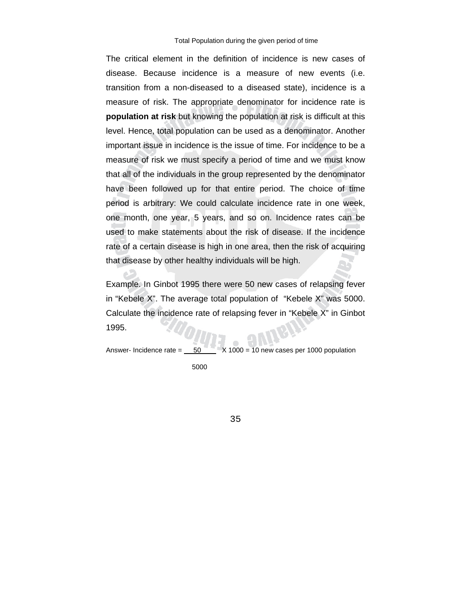The critical element in the definition of incidence is new cases of disease. Because incidence is a measure of new events (i.e. transition from a non-diseased to a diseased state), incidence is a measure of risk. The appropriate denominator for incidence rate is **population at risk** but knowing the population at risk is difficult at this level. Hence, total population can be used as a denominator. Another important issue in incidence is the issue of time. For incidence to be a measure of risk we must specify a period of time and we must know that all of the individuals in the group represented by the denominator have been followed up for that entire period. The choice of time period is arbitrary: We could calculate incidence rate in one week, one month, one year, 5 years, and so on. Incidence rates can be used to make statements about the risk of disease. If the incidence rate of a certain disease is high in one area, then the risk of acquiring that disease by other healthy individuals will be high.

Example. In Ginbot 1995 there were 50 new cases of relapsing fever in "Kebele X". The average total population of "Kebele X" was 5000. Calculate the incidence rate of relapsing fever in "Kebele X" in Ginbot 1995.

Answer- Incidence rate  $= 50$   $X = 1000$  = 10 new cases per 1000 population

5000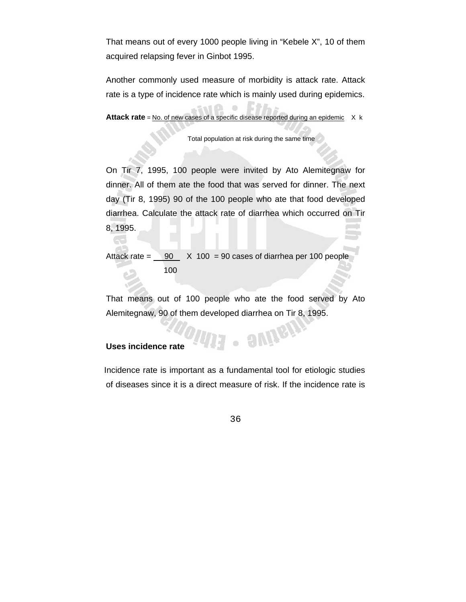That means out of every 1000 people living in "Kebele X", 10 of them acquired relapsing fever in Ginbot 1995.

Another commonly used measure of morbidity is attack rate. Attack rate is a type of incidence rate which is mainly used during epidemics.

**Attack rate** = No. of new cases of a specific disease reported during an epidemic X k

Total population at risk during the same time

On Tir 7, 1995, 100 people were invited by Ato Alemitegnaw for dinner. All of them ate the food that was served for dinner. The next day (Tir 8, 1995) 90 of the 100 people who ate that food developed diarrhea. Calculate the attack rate of diarrhea which occurred on Tir 8, 1995.

Attack rate =  $\frac{90}{100}$  X 100 = 90 cases of diarrhea per 100 people 100

That means out of 100 people who ate the food served by Ato Alemitegnaw, 90 of them developed diarrhea on Tir 8, 1995.

. autrety

#### **Uses incidence rate**

 Incidence rate is important as a fundamental tool for etiologic studies of diseases since it is a direct measure of risk. If the incidence rate is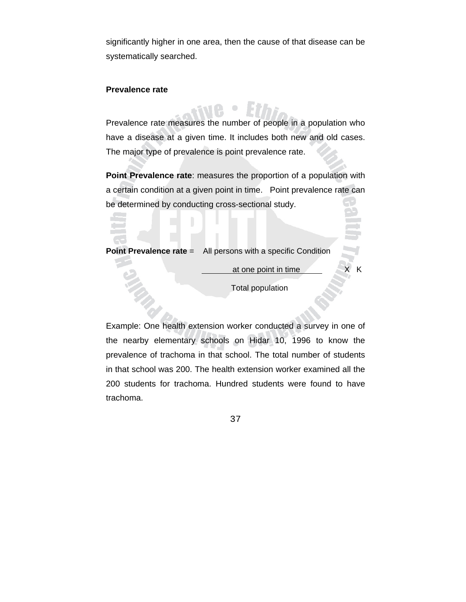significantly higher in one area, then the cause of that disease can be systematically searched.

#### **Prevalence rate**

Prevalence rate measures the number of people in a population who have a disease at a given time. It includes both new and old cases. The major type of prevalence is point prevalence rate.

**Point Prevalence rate**: measures the proportion of a population with a certain condition at a given point in time. Point prevalence rate can be determined by conducting cross-sectional study.

**Point Prevalence rate** = All persons with a specific Condition

at one point in time X K

Total population

Example: One health extension worker conducted a survey in one of the nearby elementary schools on Hidar 10, 1996 to know the prevalence of trachoma in that school. The total number of students in that school was 200. The health extension worker examined all the 200 students for trachoma. Hundred students were found to have trachoma.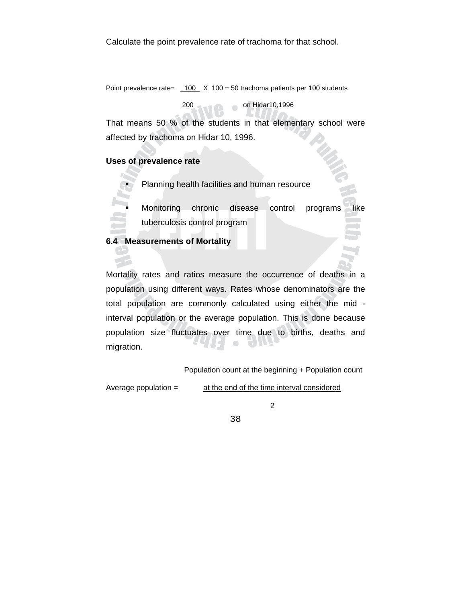Point prevalence rate=  $100 \times 100 = 50$  trachoma patients per 100 students

200 on Hidar10,1996

That means 50 % of the students in that elementary school were affected by trachoma on Hidar 10, 1996.

### **Uses of prevalence rate**

- Planning health facilities and human resource
- Monitoring chronic disease control programs like tuberculosis control program

#### **6.4 Measurements of Mortality**

Mortality rates and ratios measure the occurrence of deaths in a population using different ways. Rates whose denominators are the total population are commonly calculated using either the mid interval population or the average population. This is done because population size fluctuates over time due to births, deaths and  $\begin{array}{c} \bullet \\ \bullet \end{array}$ **ELIDA** migration.

Population count at the beginning + Population count

Average population = at the end of the time interval considered

2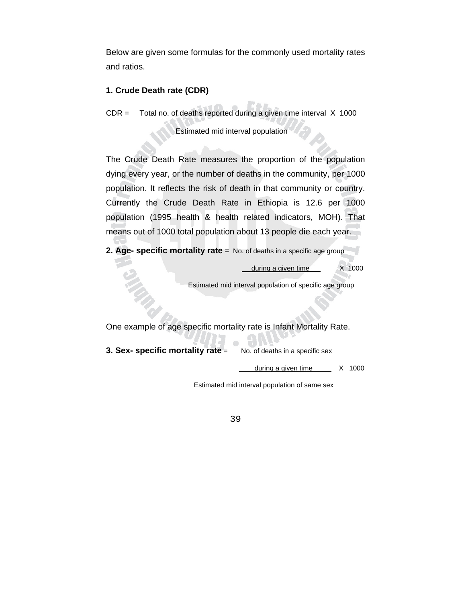Below are given some formulas for the commonly used mortality rates and ratios.

## **1. Crude Death rate (CDR)**

CDR = Total no. of deaths reported during a given time interval X 1000

Estimated mid interval population

The Crude Death Rate measures the proportion of the population dying every year, or the number of deaths in the community, per 1000 population. It reflects the risk of death in that community or country. Currently the Crude Death Rate in Ethiopia is 12.6 per 1000 population (1995 health & health related indicators, MOH). That means out of 1000 total population about 13 people die each year.

**2. Age- specific mortality rate** = No. of deaths in a specific age group

during a given time X 1000

Estimated mid interval population of specific age group

One example of age specific mortality rate is Infant Mortality Rate.

**3. Sex- specific mortality rate** = No. of deaths in a specific sex

during a given time  $X$  1000

Estimated mid interval population of same sex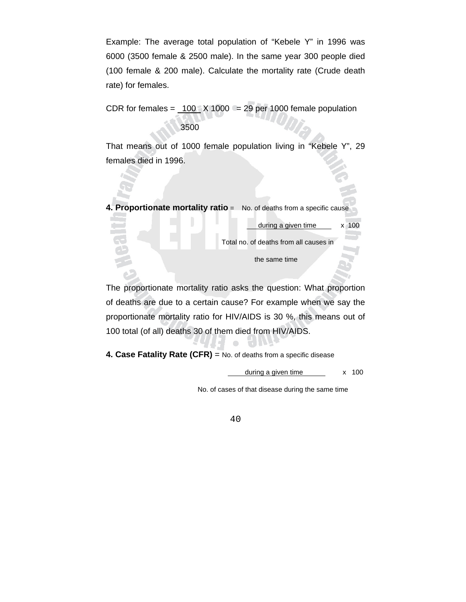Example: The average total population of "Kebele Y" in 1996 was 6000 (3500 female & 2500 male). In the same year 300 people died (100 female & 200 male). Calculate the mortality rate (Crude death rate) for females.

CDR for females =  $100$   $\times$  1000 = 29 per 1000 female population 3500

That means out of 1000 female population living in "Kebele Y", 29 females died in 1996.

**4. Proportionate mortality ratio** = No. of deaths from a specific cause

Total no. of deaths from all causes in

during a given time  $\times 100$ 

the same time

The proportionate mortality ratio asks the question: What proportion of deaths are due to a certain cause? For example when we say the proportionate mortality ratio for HIV/AIDS is 30 %, this means out of 100 total (of all) deaths 30 of them died from HIV/AIDS.

 $\Box$ 

**4. Case Fatality Rate (CFR)** = No. of deaths from a specific disease

 $during a given time$   $\times$  100

No. of cases of that disease during the same time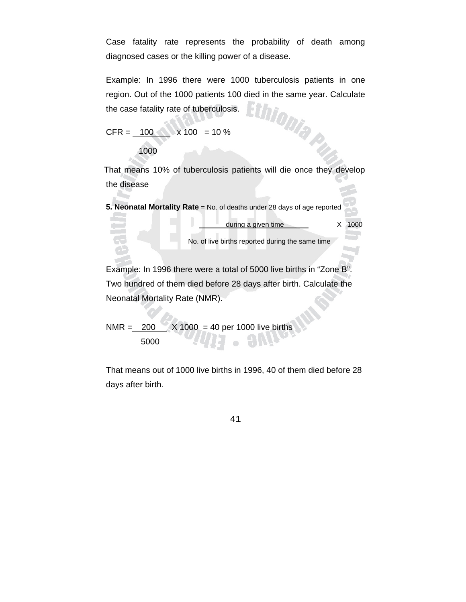Case fatality rate represents the probability of death among diagnosed cases or the killing power of a disease.

Example: In 1996 there were 1000 tuberculosis patients in one region. Out of the 1000 patients 100 died in the same year. Calculate<br>the case fatality rate of tuberculosis. the case fatality rate of tuberculosis.

 $CFR = 100 \times 100 = 10 \%$ 

1000

 That means 10% of tuberculosis patients will die once they develop the disease

**5. Neonatal Mortality Rate** = No. of deaths under 28 days of age reported

during a given time X 1000

No. of live births reported during the same time

Example: In 1996 there were a total of 5000 live births in "Zone B". Two hundred of them died before 28 days after birth. Calculate the Neonatal Mortality Rate (NMR).

NMR =  $200$   $\times$  X 1000 = 40 per 1000 live births 5000

That means out of 1000 live births in 1996, 40 of them died before 28 days after birth.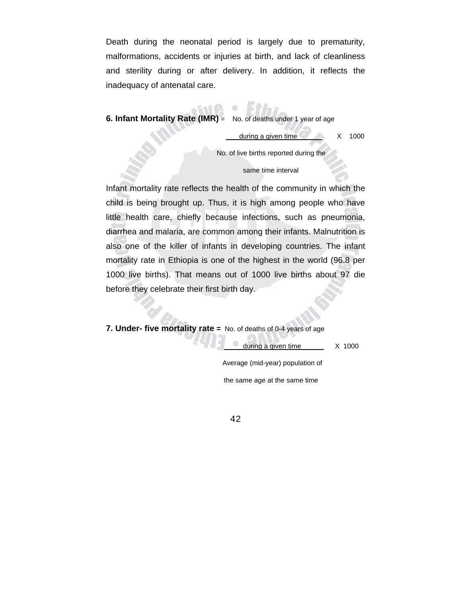Death during the neonatal period is largely due to prematurity, malformations, accidents or injuries at birth, and lack of cleanliness and sterility during or after delivery. In addition, it reflects the inadequacy of antenatal care.

 $\bullet$ 

## **6. Infant Mortality Rate (IMR)** = No. of deaths under 1 year of age

during a given time  $\overline{X}$  X 1000

No. of live births reported during the

#### same time interval

Infant mortality rate reflects the health of the community in which the child is being brought up. Thus, it is high among people who have little health care, chiefly because infections, such as pneumonia, diarrhea and malaria, are common among their infants. Malnutrition is also one of the killer of infants in developing countries. The infant mortality rate in Ethiopia is one of the highest in the world (96.8 per 1000 live births). That means out of 1000 live births about 97 die before they celebrate their first birth day.

**7. Under- five mortality rate =** No. of deaths of 0-4 years of age

during a given time X 1000

 Average (mid-year) population of the same age at the same time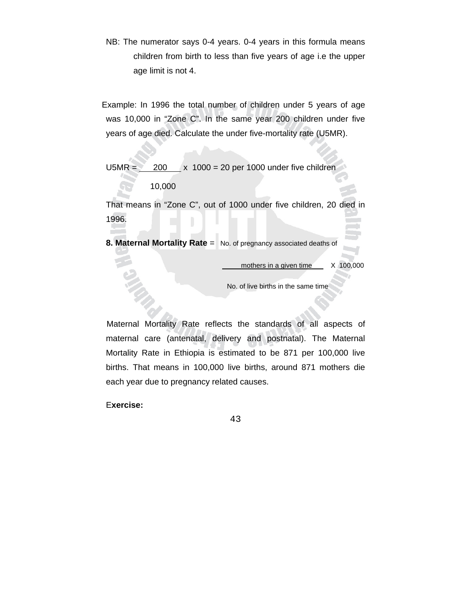NB: The numerator says 0-4 years. 0-4 years in this formula means children from birth to less than five years of age i.e the upper age limit is not 4.

 Example: In 1996 the total number of children under 5 years of age was 10,000 in "Zone C". In the same year 200 children under five years of age died. Calculate the under five-mortality rate (U5MR).

 $U5MR = 200$  x 1000 = 20 per 1000 under five children

10,000

That means in "Zone C", out of 1000 under five children, 20 died in 1996.

**8. Maternal Mortality Rate** = No. of pregnancy associated deaths of

mothers in a given time  $X$  100,000

No. of live births in the same time

 Maternal Mortality Rate reflects the standards of all aspects of maternal care (antenatal, delivery and postnatal). The Maternal Mortality Rate in Ethiopia is estimated to be 871 per 100,000 live births. That means in 100,000 live births, around 871 mothers die each year due to pregnancy related causes.

E**xercise:**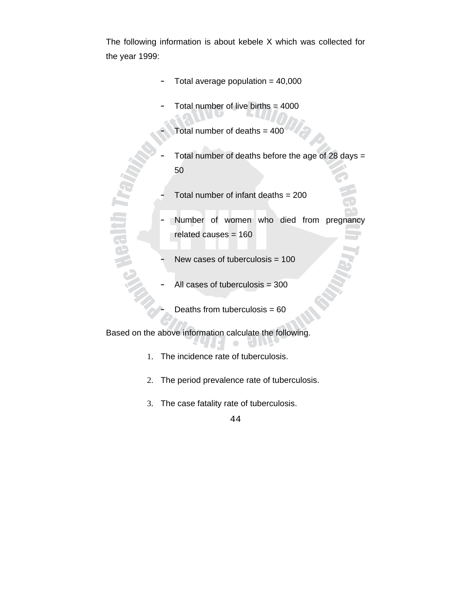The following information is about kebele X which was collected for the year 1999:

- Total average population  $= 40,000$
- Total number of live births  $= 4000$ 
	- Total number of deaths  $= 400$
- Total number of deaths before the age of 28 days  $=$ 50
	- Total number of infant deaths  $= 200$
- Number of women who died from pregnancy related causes = 160
- New cases of tuberculosis  $= 100$
- All cases of tuberculosis  $= 300$ 
	- Deaths from tuberculosis  $= 60$

Based on the above information calculate the following.

**Baltin** 

- 1. The incidence rate of tuberculosis.
- 2. The period prevalence rate of tuberculosis.
- 3. The case fatality rate of tuberculosis.

<sup>44</sup>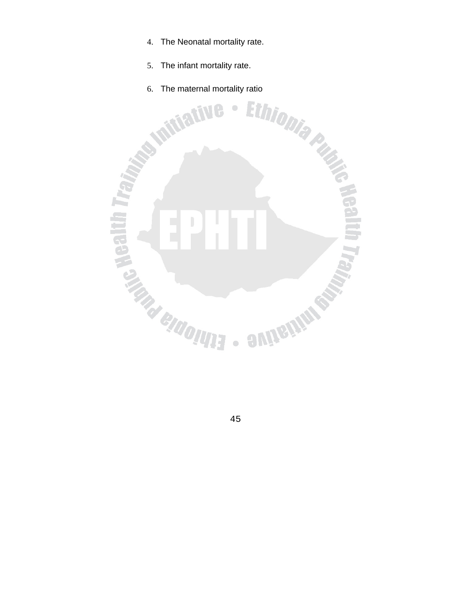- 4. The Neonatal mortality rate.
- 5. The infant mortality rate.
- 

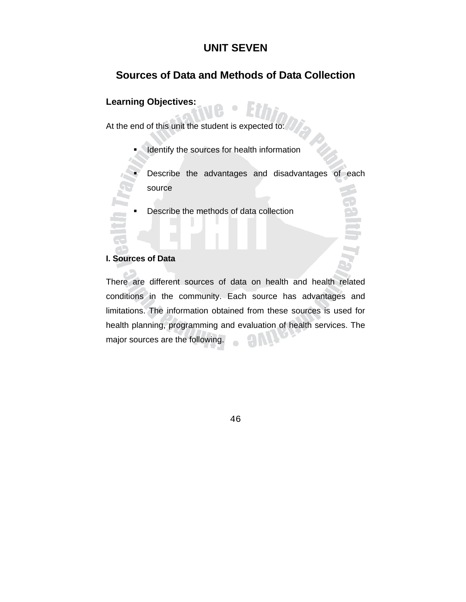# **UNIT SEVEN**

# **Sources of Data and Methods of Data Collection**

# **Learning Objectives:**

At the end of this unit the student is expected to:

I Identify the sources for health information

 Describe the advantages and disadvantages of each source

Describe the methods of data collection

### **I. Sources of Data**

There are different sources of data on health and health related conditions in the community. Each source has advantages and limitations. The information obtained from these sources is used for health planning, programming and evaluation of health services. The major sources are the following.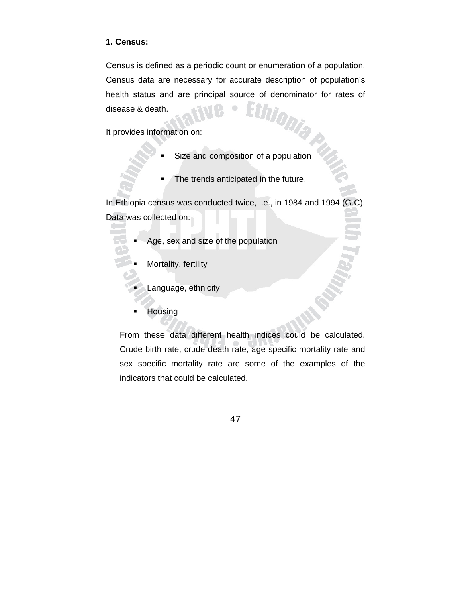## **1. Census:**

Census is defined as a periodic count or enumeration of a population. Census data are necessary for accurate description of population's health status and are principal source of denominator for rates of disease & death. disease & death.

It provides information on:

- Size and composition of a population
- The trends anticipated in the future.

In Ethiopia census was conducted twice, i.e., in 1984 and 1994 (G.C). Data was collected on:

- Age, sex and size of the population
	- Mortality, fertility
		- Language, ethnicity
	- **Housing**

From these data different health indices could be calculated. Crude birth rate, crude death rate, age specific mortality rate and sex specific mortality rate are some of the examples of the indicators that could be calculated.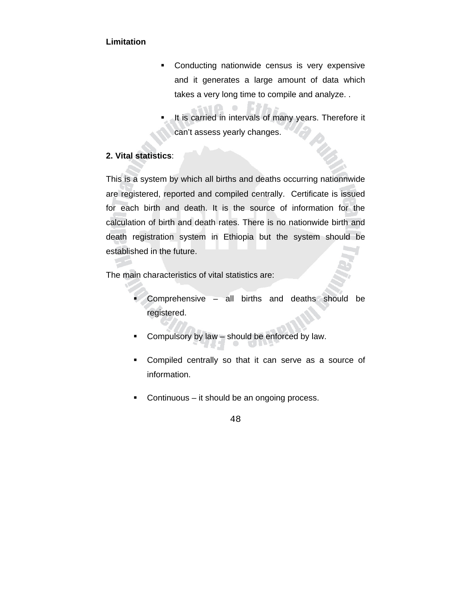## **Limitation**

- **•** Conducting nationwide census is very expensive and it generates a large amount of data which takes a very long time to compile and analyze. .
- It is carried in intervals of many years. Therefore it can't assess yearly changes.

# **2. Vital statistics**:

This is a system by which all births and deaths occurring nationnwide are registered, reported and compiled centrally. Certificate is issued for each birth and death. It is the source of information for the calculation of birth and death rates. There is no nationwide birth and death registration system in Ethiopia but the system should be established in the future.

 $\triangle$ 

The main characteristics of vital statistics are:

- Comprehensive all births and deaths should be registered.
- **Compulsory by law should be enforced by law.**
- Compiled centrally so that it can serve as a source of information.
- **Continuous** it should be an ongoing process.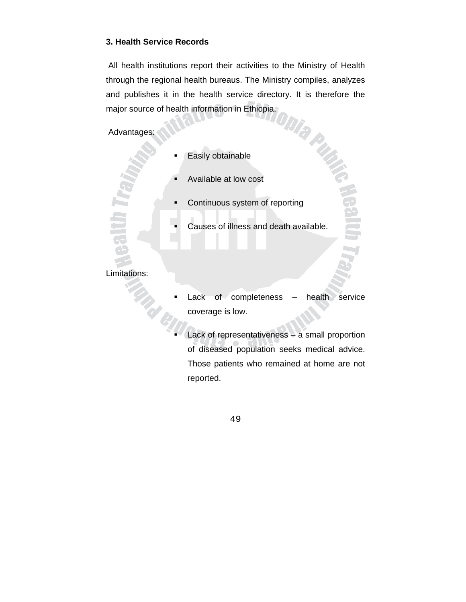## **3. Health Service Records**

 All health institutions report their activities to the Ministry of Health through the regional health bureaus. The Ministry compiles, analyzes and publishes it in the health service directory. It is therefore the major source of health information in Ethiopia. major source of health information in Ethiopia.

# Advantages:

- Easily obtainable
- Available at low cost
- Continuous system of reporting
- Causes of illness and death available.

## Limitations:

- Lack of completeness health service coverage is low.
- Lack of representativeness a small proportion of diseased population seeks medical advice. Those patients who remained at home are not reported.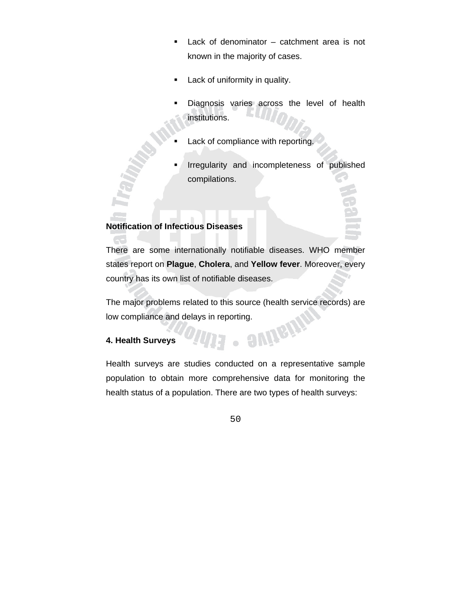- Lack of denominator catchment area is not known in the majority of cases.
- **Lack of uniformity in quality.**
- Diagnosis varies across the level of health institutions.
- Lack of compliance with reporting.
- Irregularity and incompleteness of published compilations.

## **Notification of Infectious Diseases**

There are some internationally notifiable diseases. WHO member states report on **Plague**, **Cholera**, and **Yellow fever**. Moreover, every country has its own list of notifiable diseases.

The major problems related to this source (health service records) are low compliance and delays in reporting.

 $\bullet$ 

evile

### **4. Health Surveys**

Health surveys are studies conducted on a representative sample population to obtain more comprehensive data for monitoring the health status of a population. There are two types of health surveys: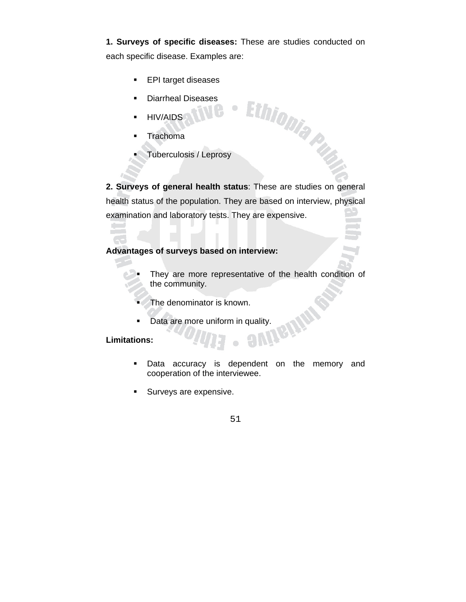**1. Surveys of specific diseases:** These are studies conducted on each specific disease. Examples are:

 $\bullet$ 

- **EPI target diseases**
- **Diarrheal Diseases**
- **HIV/AIDS**
- **Trachoma**
- Tuberculosis / Leprosy

**2. Surveys of general health status**: These are studies on general health status of the population. They are based on interview, physical examination and laboratory tests. They are expensive.

Ethiopia Print

## **Advantages of surveys based on interview:**

- They are more representative of the health condition of the community.
- 
- The denominator is known.<br>Data are more uniform in quality.<br>... **Data are more uniform in quality.**

## **Limitations:**

- **Data accuracy is dependent on the memory and** cooperation of the interviewee.
- **Surveys are expensive.**

 $\bullet$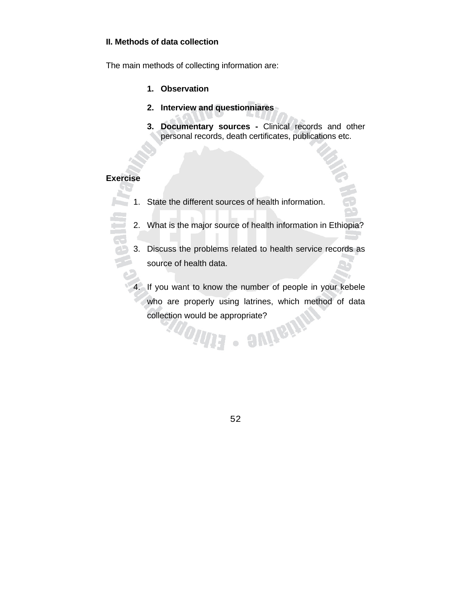## **II. Methods of data collection**

The main methods of collecting information are:

- **1. Observation**
- **2. Interview and questionniares**
- **3. Documentary sources** Clinical records and other personal records, death certificates, publications etc.

## **Exercise**

- 1. State the different sources of health information.
	- 2. What is the major source of health information in Ethiopia?
	- 3. Discuss the problems related to health service records as source of health data.
	- 4. If you want to know the number of people in your kebele who are properly using latrines, which method of data collection would be appropriate?<br>
	A propriate?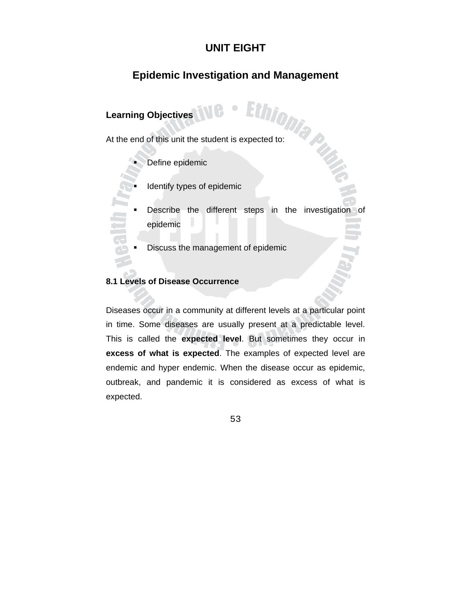# **UNIT EIGHT**

# **Epidemic Investigation and Management**

# **Learning Objectives**

Learning Objectives<br>At the end of this unit the student is expected to:

Define epidemic

- Identify types of epidemic
- Describe the different steps in the investigation of epidemic
- Discuss the management of epidemic

## **8.1 Levels of Disease Occurrence**

Diseases occur in a community at different levels at a particular point in time. Some diseases are usually present at a predictable level. This is called the **expected level**. But sometimes they occur in **excess of what is expected**. The examples of expected level are endemic and hyper endemic. When the disease occur as epidemic, outbreak, and pandemic it is considered as excess of what is expected.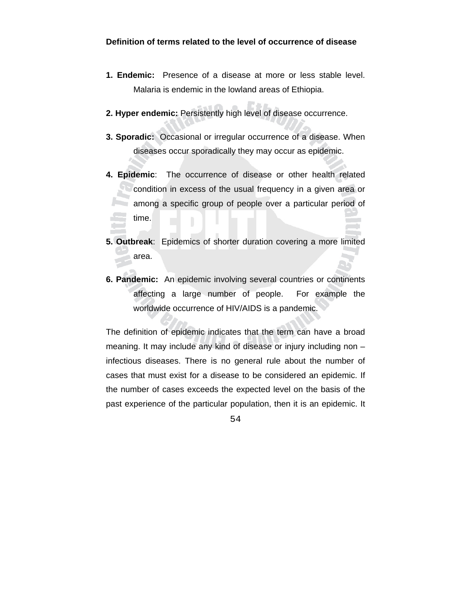- **1. Endemic:** Presence of a disease at more or less stable level. Malaria is endemic in the lowland areas of Ethiopia.
- **2. Hyper endemic:** Persistently high level of disease occurrence.
- **3. Sporadic:** Occasional or irregular occurrence of a disease. When diseases occur sporadically they may occur as epidemic.
- **4. Epidemic**: The occurrence of disease or other health related **Condition in excess of the usual frequency in a given area or** among a specific group of people over a particular period of time.
- **5. Outbreak**: Epidemics of shorter duration covering a more limited area.
- **6. Pandemic:** An epidemic involving several countries or continents affecting a large number of people. For example the worldwide occurrence of HIV/AIDS is a pandemic.

The definition of epidemic indicates that the term can have a broad meaning. It may include any kind of disease or injury including non – infectious diseases. There is no general rule about the number of cases that must exist for a disease to be considered an epidemic. If the number of cases exceeds the expected level on the basis of the past experience of the particular population, then it is an epidemic. It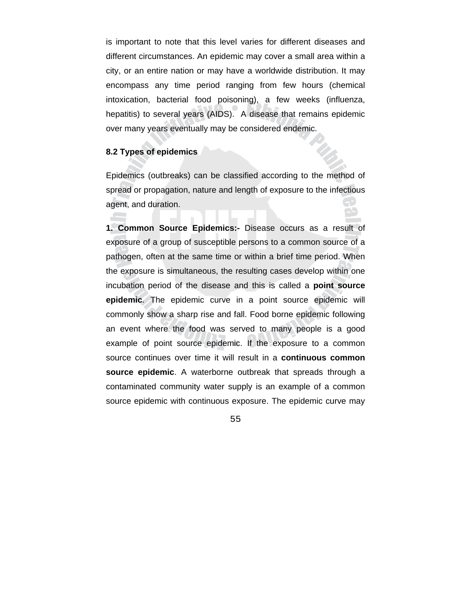is important to note that this level varies for different diseases and different circumstances. An epidemic may cover a small area within a city, or an entire nation or may have a worldwide distribution. It may encompass any time period ranging from few hours (chemical intoxication, bacterial food poisoning), a few weeks (influenza, hepatitis) to several years (AIDS). A disease that remains epidemic over many years eventually may be considered endemic.

## **8.2 Types of epidemics**

Epidemics (outbreaks) can be classified according to the method of spread or propagation, nature and length of exposure to the infectious agent, and duration.

**1. Common Source Epidemics:-** Disease occurs as a result of exposure of a group of susceptible persons to a common source of a pathogen, often at the same time or within a brief time period. When the exposure is simultaneous, the resulting cases develop within one incubation period of the disease and this is called a **point source epidemic**. The epidemic curve in a point source epidemic will commonly show a sharp rise and fall. Food borne epidemic following an event where the food was served to many people is a good example of point source epidemic. If the exposure to a common source continues over time it will result in a **continuous common source epidemic**. A waterborne outbreak that spreads through a contaminated community water supply is an example of a common source epidemic with continuous exposure. The epidemic curve may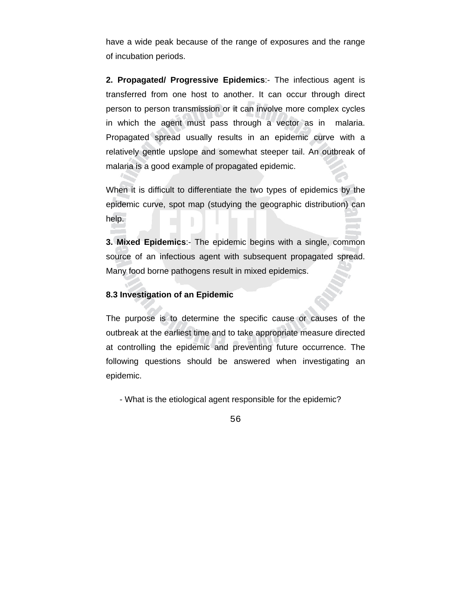have a wide peak because of the range of exposures and the range of incubation periods.

**2. Propagated/ Progressive Epidemics**:- The infectious agent is transferred from one host to another. It can occur through direct person to person transmission or it can involve more complex cycles in which the agent must pass through a vector as in malaria. Propagated spread usually results in an epidemic curve with a relatively gentle upslope and somewhat steeper tail. An outbreak of malaria is a good example of propagated epidemic.

When it is difficult to differentiate the two types of epidemics by the epidemic curve, spot map (studying the geographic distribution) can help.

**3. Mixed Epidemics**:- The epidemic begins with a single, common source of an infectious agent with subsequent propagated spread. Many food borne pathogens result in mixed epidemics.

## **8.3 Investigation of an Epidemic**

The purpose is to determine the specific cause or causes of the outbreak at the earliest time and to take appropriate measure directed at controlling the epidemic and preventing future occurrence. The following questions should be answered when investigating an epidemic.

- What is the etiological agent responsible for the epidemic?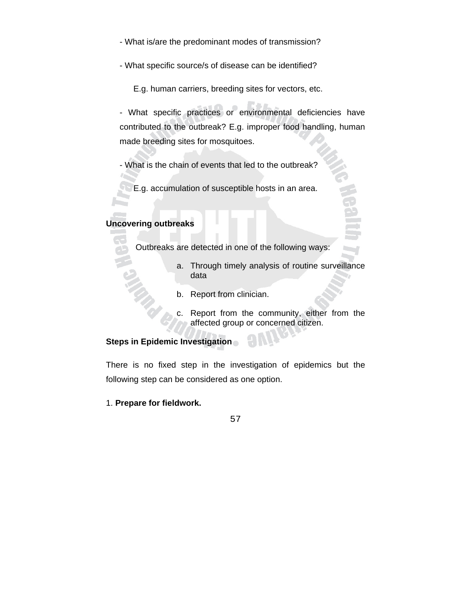- What is/are the predominant modes of transmission?
- What specific source/s of disease can be identified?

E.g. human carriers, breeding sites for vectors, etc.

- What specific practices or environmental deficiencies have contributed to the outbreak? E.g. improper food handling, human made breeding sites for mosquitoes.

- What is the chain of events that led to the outbreak?
	- E.g. accumulation of susceptible hosts in an area.

# **Uncovering outbreaks**

Outbreaks are detected in one of the following ways:

- a. Through timely analysis of routine surveillance data
- b. Report from clinician.
- c. Report from the community, either from the affected group or concerned citizen.

# **Steps in Epidemic Investigation**

There is no fixed step in the investigation of epidemics but the following step can be considered as one option.

1. **Prepare for fieldwork.** 

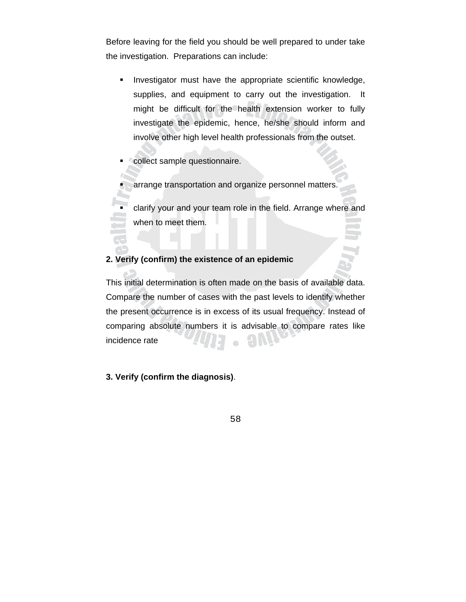Before leaving for the field you should be well prepared to under take the investigation. Preparations can include:

- **Investigator must have the appropriate scientific knowledge,** supplies, and equipment to carry out the investigation. It might be difficult for the health extension worker to fully investigate the epidemic, hence, he/she should inform and involve other high level health professionals from the outset.
- **Collect sample questionnaire.**
- arrange transportation and organize personnel matters.

 clarify your and your team role in the field. Arrange where and when to meet them.

## **2. Verify (confirm) the existence of an epidemic**

This initial determination is often made on the basis of available data. Compare the number of cases with the past levels to identify whether the present occurrence is in excess of its usual frequency. Instead of comparing absolute numbers it is advisable to compare rates like incidence rate

## **3. Verify (confirm the diagnosis)**.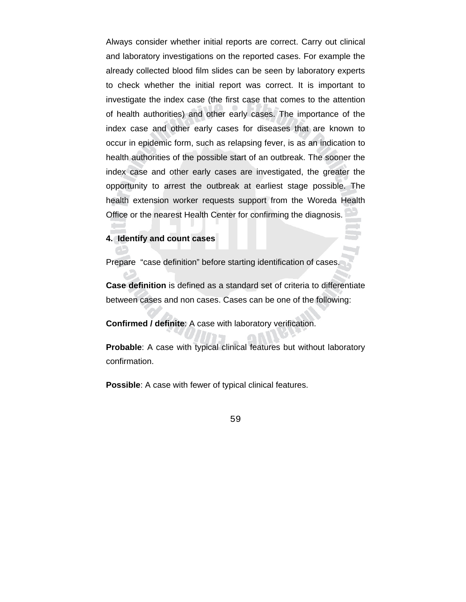Always consider whether initial reports are correct. Carry out clinical and laboratory investigations on the reported cases. For example the already collected blood film slides can be seen by laboratory experts to check whether the initial report was correct. It is important to investigate the index case (the first case that comes to the attention of health authorities) and other early cases. The importance of the index case and other early cases for diseases that are known to occur in epidemic form, such as relapsing fever, is as an indication to health authorities of the possible start of an outbreak. The sooner the index case and other early cases are investigated, the greater the opportunity to arrest the outbreak at earliest stage possible. The health extension worker requests support from the Woreda Health Office or the nearest Health Center for confirming the diagnosis.

### **4. Identify and count cases**

Prepare "case definition" before starting identification of cases.

**Case definition** is defined as a standard set of criteria to differentiate between cases and non cases. Cases can be one of the following:

**Confirmed / definite**: A case with laboratory verification.

**Probable**: A case with typical clinical features but without laboratory confirmation.

Possible: A case with fewer of typical clinical features.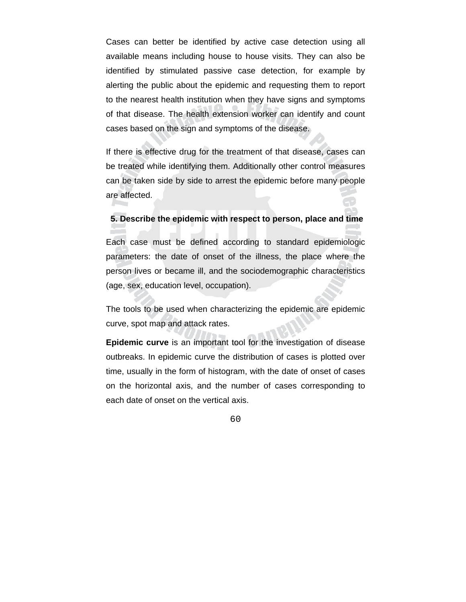Cases can better be identified by active case detection using all available means including house to house visits. They can also be identified by stimulated passive case detection, for example by alerting the public about the epidemic and requesting them to report to the nearest health institution when they have signs and symptoms of that disease. The health extension worker can identify and count cases based on the sign and symptoms of the disease.

If there is effective drug for the treatment of that disease, cases can be treated while identifying them. Additionally other control measures can be taken side by side to arrest the epidemic before many people are affected.

## **5. Describe the epidemic with respect to person, place and time**

Each case must be defined according to standard epidemiologic parameters: the date of onset of the illness, the place where the person lives or became ill, and the sociodemographic characteristics (age, sex, education level, occupation).

The tools to be used when characterizing the epidemic are epidemic curve, spot map and attack rates.

**Epidemic curve** is an important tool for the investigation of disease outbreaks. In epidemic curve the distribution of cases is plotted over time, usually in the form of histogram, with the date of onset of cases on the horizontal axis, and the number of cases corresponding to each date of onset on the vertical axis.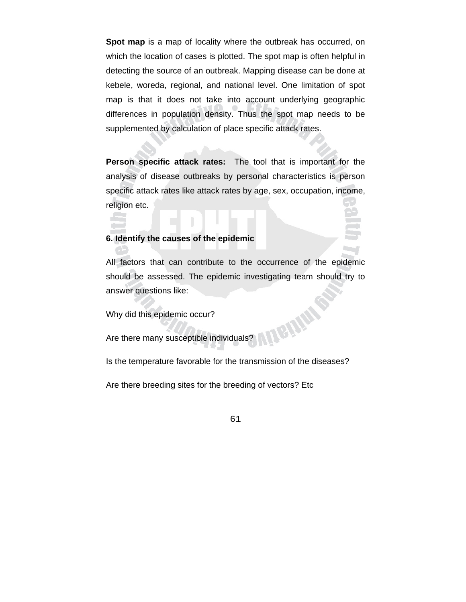**Spot map** is a map of locality where the outbreak has occurred, on which the location of cases is plotted. The spot map is often helpful in detecting the source of an outbreak. Mapping disease can be done at kebele, woreda, regional, and national level. One limitation of spot map is that it does not take into account underlying geographic differences in population density. Thus the spot map needs to be supplemented by calculation of place specific attack rates.

**Person specific attack rates:** The tool that is important for the analysis of disease outbreaks by personal characteristics is person specific attack rates like attack rates by age, sex, occupation, income, religion etc.

#### **6. Identify the causes of the epidemic**

All factors that can contribute to the occurrence of the epidemic should be assessed. The epidemic investigating team should try to answer questions like: **EILIANS** 

Why did this epidemic occur?

Are there many susceptible individuals?

Is the temperature favorable for the transmission of the diseases?

Are there breeding sites for the breeding of vectors? Etc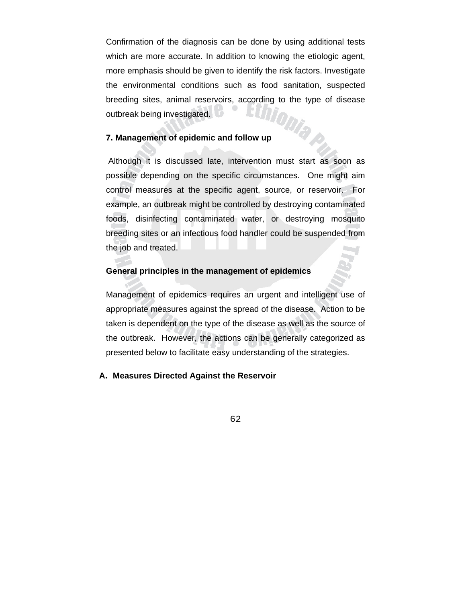Confirmation of the diagnosis can be done by using additional tests which are more accurate. In addition to knowing the etiologic agent, more emphasis should be given to identify the risk factors. Investigate the environmental conditions such as food sanitation, suspected breeding sites, animal reservoirs, according to the type of disease<br>outbreak being investigated. outbreak being investigated.

### **7. Management of epidemic and follow up**

 Although it is discussed late, intervention must start as soon as possible depending on the specific circumstances. One might aim control measures at the specific agent, source, or reservoir. For example, an outbreak might be controlled by destroying contaminated foods, disinfecting contaminated water, or destroying mosquito breeding sites or an infectious food handler could be suspended from the job and treated.

#### **General principles in the management of epidemics**

Management of epidemics requires an urgent and intelligent use of appropriate measures against the spread of the disease. Action to be taken is dependent on the type of the disease as well as the source of the outbreak. However, the actions can be generally categorized as presented below to facilitate easy understanding of the strategies.

## **A. Measures Directed Against the Reservoir**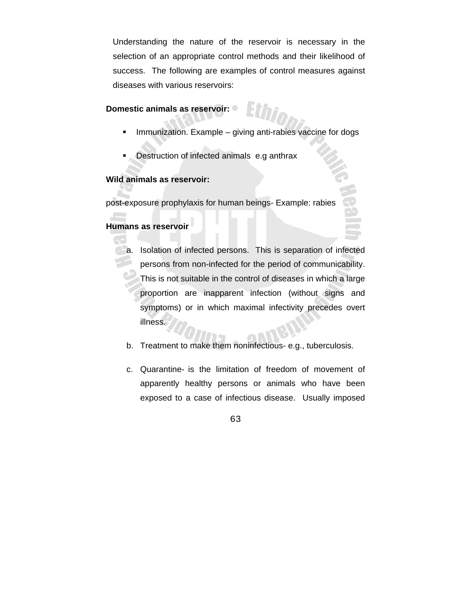Understanding the nature of the reservoir is necessary in the selection of an appropriate control methods and their likelihood of success. The following are examples of control measures against diseases with various reservoirs:

## **Domestic animals as reservoir:**

- Immunization. Example giving anti-rabies vaccine for dogs
- Destruction of infected animals e.g anthrax

## **Wild animals as reservoir:**

post-exposure prophylaxis for human beings- Example: rabies

# **Humans as reservoir**

- **a.** Isolation of infected persons. This is separation of infected persons from non-infected for the period of communicability. This is not suitable in the control of diseases in which a large proportion are inapparent infection (without signs and symptoms) or in which maximal infectivity precedes overt illness.
	- b. Treatment to make them noninfectious- e.g., tuberculosis.
	- c. Quarantine- is the limitation of freedom of movement of apparently healthy persons or animals who have been exposed to a case of infectious disease. Usually imposed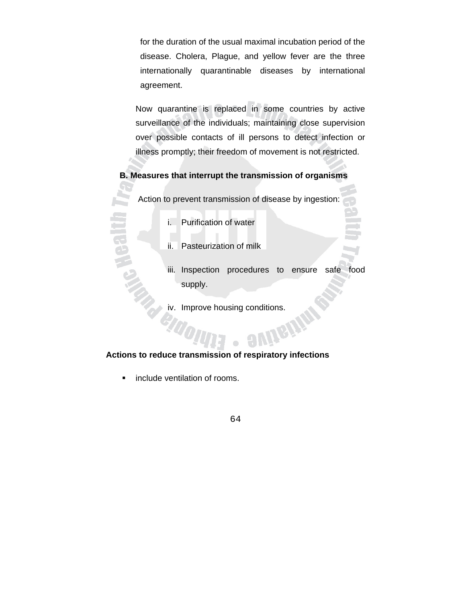for the duration of the usual maximal incubation period of the disease. Cholera, Plague, and yellow fever are the three internationally quarantinable diseases by international agreement.

Now quarantine is replaced in some countries by active surveillance of the individuals; maintaining close supervision over possible contacts of ill persons to detect infection or illness promptly; their freedom of movement is not restricted.

## **B. Measures that interrupt the transmission of organisms**

Action to prevent transmission of disease by ingestion:

- i. Purification of water
- ii. Pasteurization of milk
- iii. Inspection procedures to ensure safe food supply.
- iv. Improve housing conditions.<br>And the conditions of the state of the state of the state of the state of the state of the state of the state of the state of the state of the state of the state of the state of the state of

## **Actions to reduce transmission of respiratory infections**

**·** include ventilation of rooms.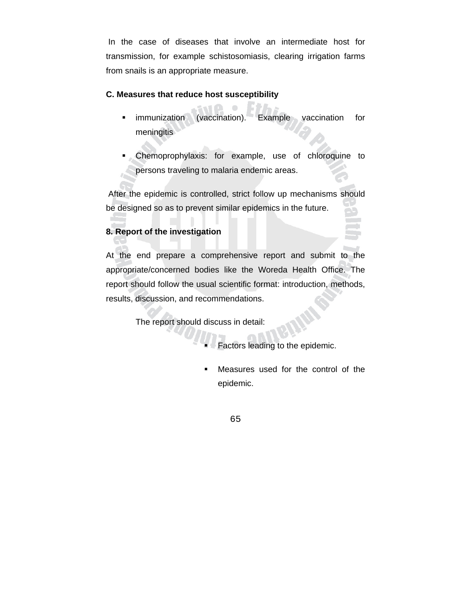In the case of diseases that involve an intermediate host for transmission, for example schistosomiasis, clearing irrigation farms from snails is an appropriate measure.

## **C. Measures that reduce host susceptibility**

- **EXAMPLE 10** Immunization (vaccination). Example vaccination for meningitis
- Chemoprophylaxis: for example, use of chloroquine to persons traveling to malaria endemic areas.

 After the epidemic is controlled, strict follow up mechanisms should be designed so as to prevent similar epidemics in the future.

## **8. Report of the investigation**

At the end prepare a comprehensive report and submit to the appropriate/concerned bodies like the Woreda Health Office. The report should follow the usual scientific format: introduction, methods, results, discussion, and recommendations.

The report should discuss in detail:

- Factors leading to the epidemic.
- Measures used for the control of the epidemic.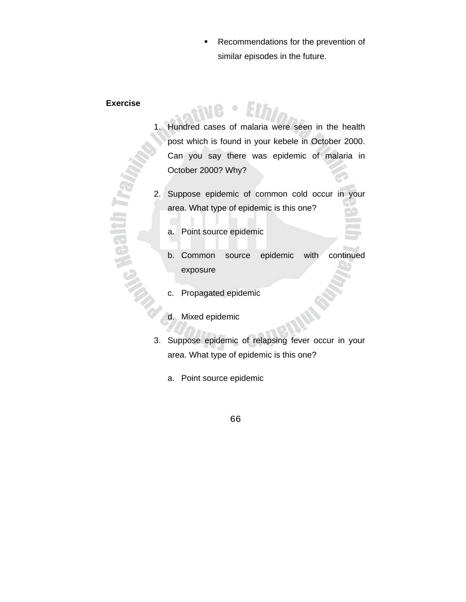Recommendations for the prevention of similar episodes in the future.

#### **Exercise**

**Gallin T** 

- 1. Hundred cases of malaria were seen in the health post which is found in your kebele in October 2000. Can you say there was epidemic of malaria in October 2000? Why?
- 2. Suppose epidemic of common cold occur in your area. What type of epidemic is this one?
	- a. Point source epidemic
	- b. Common source epidemic with continued exposure
	- c. Propagated epidemic
	- d. Mixed epidemic
- 3. Suppose epidemic of relapsing fever occur in your area. What type of epidemic is this one?
	- a. Point source epidemic
		- 66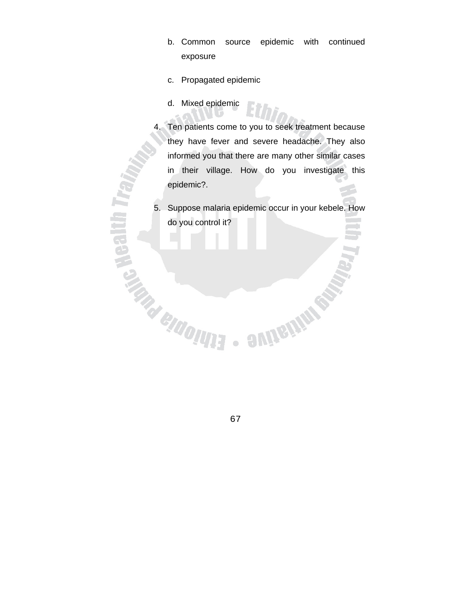- b. Common source epidemic with continued exposure
- c. Propagated epidemic
- d. Mixed epidemic

**A Mealth T** 

**CALLADORES** 

- 4. Ten patients come to you to seek treatment because they have fever and severe headache. They also informed you that there are many other similar cases in their village. How do you investigate this epidemic?.
- 5. Suppose malaria epidemic occur in your kebele. How do you control it?

**SUIGHINGS** 

67

 $\begin{array}{c} \bullet \\ \bullet \end{array}$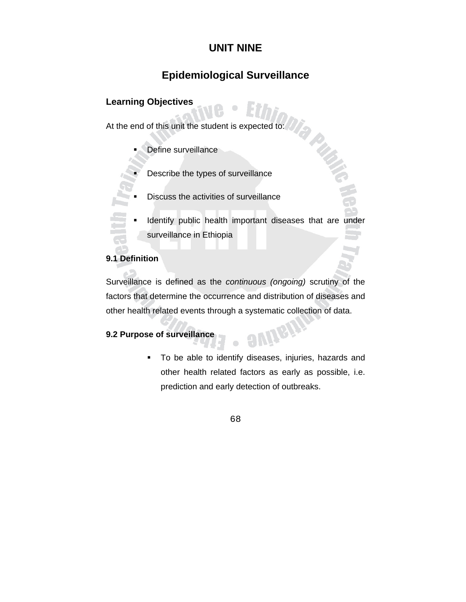# **UNIT NINE**

# **Epidemiological Surveillance**

# **Learning Objectives**

At the end of this unit the student is expected to:

- Define surveillance
- Describe the types of surveillance
- Discuss the activities of surveillance
- Identify public health important diseases that are under surveillance in Ethiopia

**PUBLE** 

## **9.1 Definition**

Surveillance is defined as the *continuous (ongoing)* scrutiny of the factors that determine the occurrence and distribution of diseases and other health related events through a systematic collection of data.

 $\bullet$ 

# **9.2 Purpose of surveillance**

 To be able to identify diseases, injuries, hazards and other health related factors as early as possible, i.e. prediction and early detection of outbreaks.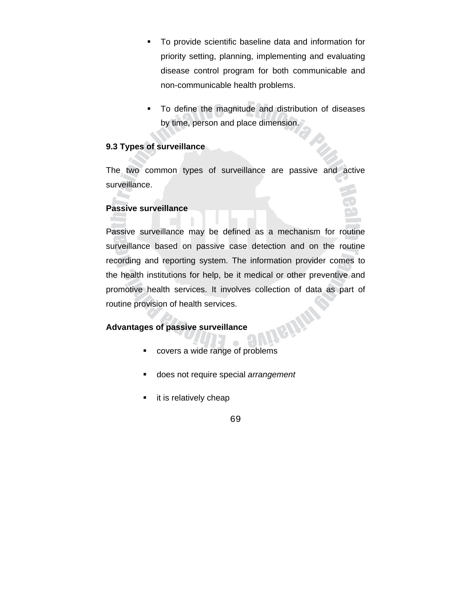- To provide scientific baseline data and information for priority setting, planning, implementing and evaluating disease control program for both communicable and non-communicable health problems.
- To define the magnitude and distribution of diseases by time, person and place dimension.

### **9.3 Types of surveillance**

The two common types of surveillance are passive and active surveillance.

#### **Passive surveillance**

Passive surveillance may be defined as a mechanism for routine surveillance based on passive case detection and on the routine recording and reporting system. The information provider comes to the health institutions for help, be it medical or other preventive and promotive health services. It involves collection of data as part of routine provision of health services. BININ

### **Advantages of passive surveillance**

- covers a wide range of problems
- does not require special *arrangement*
- **it is relatively cheap**

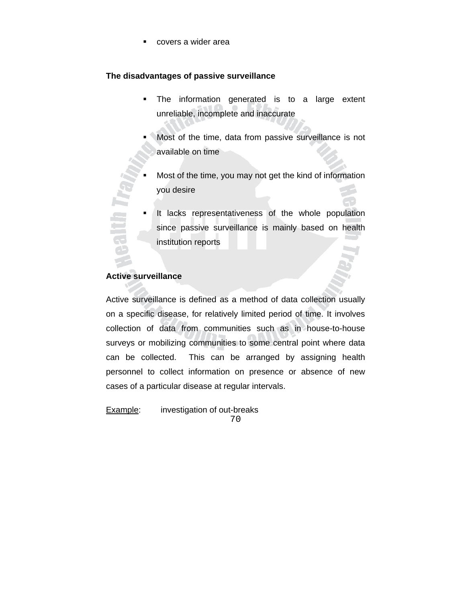covers a wider area

#### **The disadvantages of passive surveillance**

- **The information generated is to a large extent** unreliable, incomplete and inaccurate
- Most of the time, data from passive surveillance is not available on time
- Most of the time, you may not get the kind of information you desire
- It lacks representativeness of the whole population since passive surveillance is mainly based on health institution reports

### **Active surveillance**

Ē

Active surveillance is defined as a method of data collection usually on a specific disease, for relatively limited period of time. It involves collection of data from communities such as in house-to-house surveys or mobilizing communities to some central point where data can be collected. This can be arranged by assigning health personnel to collect information on presence or absence of new cases of a particular disease at regular intervals.

70 **Example:** investigation of out-breaks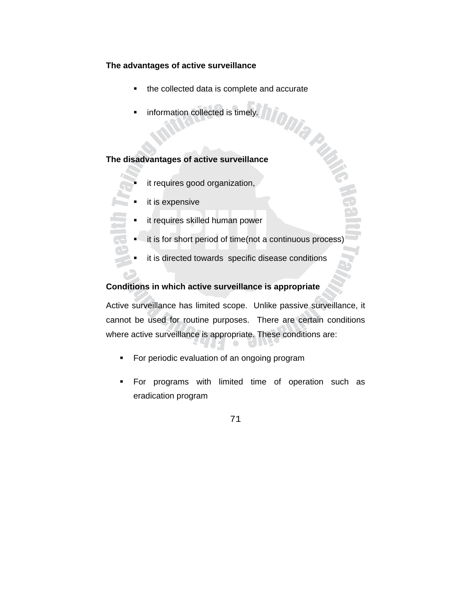#### **The advantages of active surveillance**

- the collected data is complete and accurate
- information collected is timely*.*

### **The disadvantages of active surveillance**

- it requires good organization,
- it is expensive
	- it requires skilled human power
	- it is for short period of time(not a continuous process)
	- it is directed towards specific disease conditions

### **Conditions in which active surveillance is appropriate**

Active surveillance has limited scope. Unlike passive surveillance, it cannot be used for routine purposes. There are certain conditions where active surveillance is appropriate. These conditions are:

- **For periodic evaluation of an ongoing program**
- **For programs with limited time of operation such as** eradication program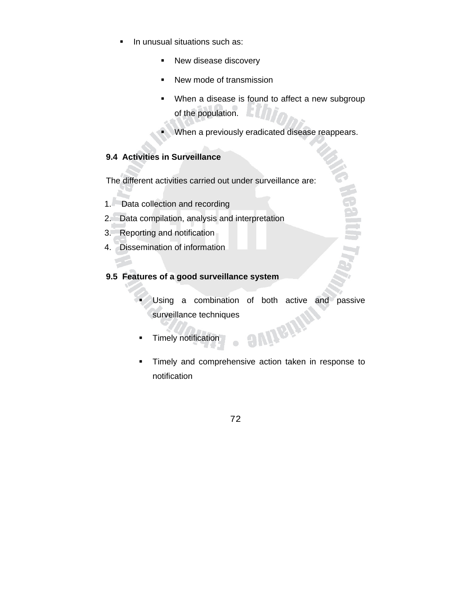- **In unusual situations such as:** 
	- **New disease discovery**
	- New mode of transmission
	- When a disease is found to affect a new subgroup of the population.
	- When a previously eradicated disease reappears.

# **9.4 Activities in Surveillance**

The different activities carried out under surveillance are:

- 1. Data collection and recording
- 2. Data compilation, analysis and interpretation
- 3. Reporting and notification
- 4. Dissemination of information

### **9.5 Features of a good surveillance system**

- Using a combination of both active and passive surveillance techniques **OWNEIN!**
- **Timely notification**
- **Timely and comprehensive action taken in response to** notification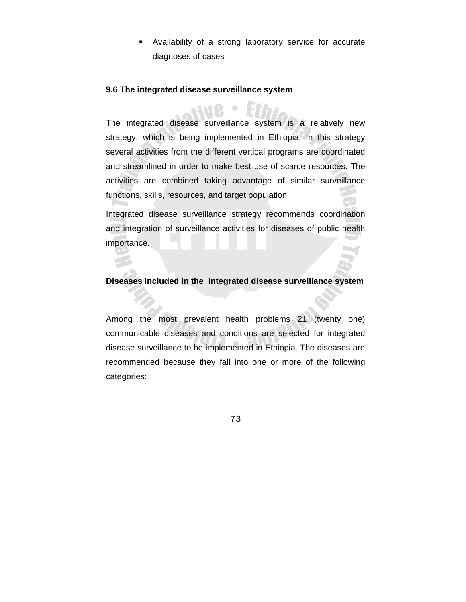Availability of a strong laboratory service for accurate diagnoses of cases

#### **9.6 The integrated disease surveillance system**

The integrated disease surveillance system is a relatively new strategy, which is being implemented in Ethiopia. In this strategy several activities from the different vertical programs are coordinated and streamlined in order to make best use of scarce resources. The activities are combined taking advantage of similar surveillance functions, skills, resources, and target population.

Integrated disease surveillance strategy recommends coordination and integration of surveillance activities for diseases of public health importance.

#### **Diseases included in the integrated disease surveillance system**

Among the most prevalent health problems 21 (twenty one) communicable diseases and conditions are selected for integrated disease surveillance to be implemented in Ethiopia. The diseases are recommended because they fall into one or more of the following categories: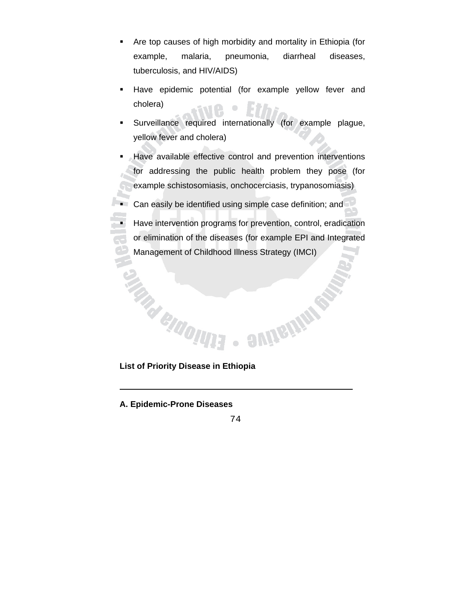- Are top causes of high morbidity and mortality in Ethiopia (for example, malaria, pneumonia, diarrheal diseases, tuberculosis, and HIV/AIDS)
- **Have epidemic potential (for example yellow fever and** cholera)
- Surveillance required internationally (for example plague, yellow fever and cholera)
- Have available effective control and prevention interventions for addressing the public health problem they pose (for example schistosomiasis, onchocerciasis, trypanosomiasis)

**Can easily be identified using simple case definition; and** 

 Have intervention programs for prevention, control, eradication or elimination of the diseases (for example EPI and Integrated Management of Childhood Illness Strategy (IMCI)

**List of Priority Disease in Ethiopia** 

**A. Epidemic-Prone Diseases** 

74

 $\bullet$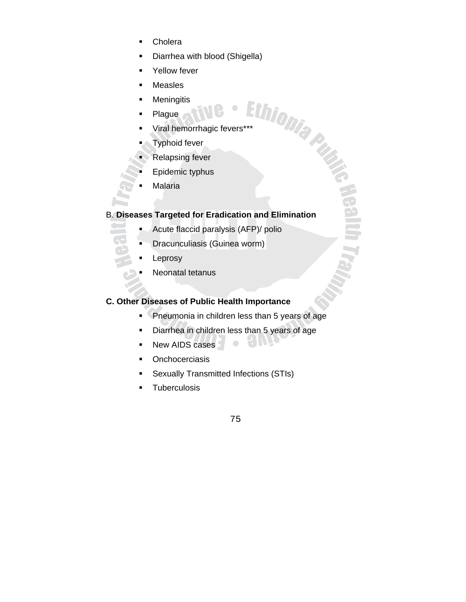- **Cholera**
- Diarrhea with blood (Shigella)
- Yellow fever
- **Measles**
- **Meningitis**
- Plague
- Measie...<br>
Meningitis<br>
Plague<br>
Viral hemorrhagic fevers\*\*\*<br>
Latter Latter Latter Latter Latter Latter Latter Latter Latter Latter Latter Latter Latter Latter Latter Latter Latter Latter Latter Latter Latter Latter Latter L
- Typhoid fever
- Relapsing fever
- Epidemic typhus
- Malaria

## B. **Diseases Targeted for Eradication and Elimination**

- **Acute flaccid paralysis (AFP)/ polio**
- **Dracunculiasis (Guinea worm)**
- Leprosy
- Neonatal tetanus

# **C. Other Diseases of Public Health Importance**

**Pheumonia in children less than 5 years of age** 

 $\bullet$ 

- Diarrhea in children less than 5 years of age
- New AIDS cases
- **•** Onchocerciasis
- Sexually Transmitted Infections (STIs)
- **Tuberculosis**

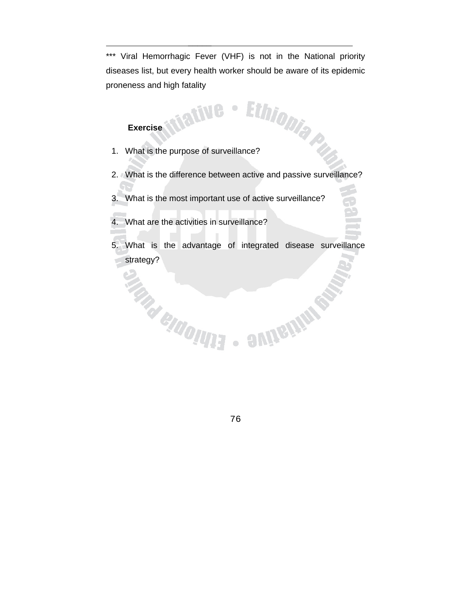\*\*\* Viral Hemorrhagic Fever (VHF) is not in the National priority diseases list, but every health worker should be aware of its epidemic proneness and high fatality

 $\bullet$ 

### **Exercise**

 $\frac{1}{2}$  , which is a set of the set of the set of the set of the set of the set of the set of the set of the set of the set of the set of the set of the set of the set of the set of the set of the set of the set of the

- Exercise<br>1. What is the purpose of surveillance?
- 2. What is the difference between active and passive surveillance?
- 3. What is the most important use of active surveillance?
- 4. What are the activities in surveillance?
- 5. What is the advantage of integrated disease surveillance strategy?<br>And CHIOHH

**OMIGITION STATE** 

76

 $\begin{array}{c} \bullet \\ \bullet \end{array}$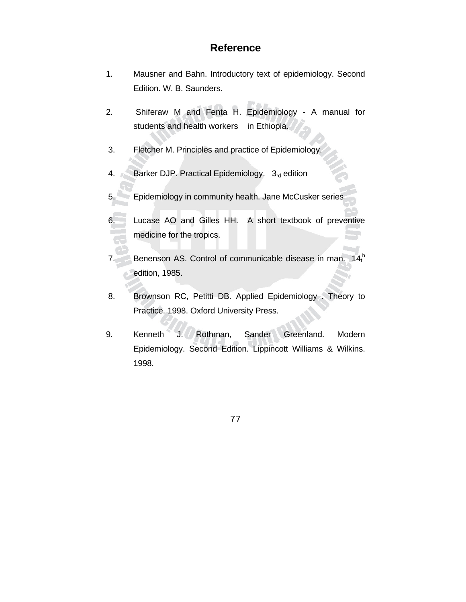# **Reference**

- 1. Mausner and Bahn. Introductory text of epidemiology. Second Edition. W. B. Saunders.
- 2. Shiferaw M and Fenta H. Epidemiology A manual for students and health workers in Ethiopia.
- 3. Fletcher M. Principles and practice of Epidemiology.
- 4. Barker DJP. Practical Epidemiology.  $3<sub>rd</sub>$  edition
- 5. Epidemiology in community health. Jane McCusker series
- Lucase AO and Gilles HH. A short textbook of preventive medicine for the tropics.
- 7. Benenson AS. Control of communicable disease in man.  $14<sub>t</sub><sup>h</sup>$ edition, 1985.
- 8. Brownson RC, Petitti DB. Applied Epidemiology . Theory to Practice. 1998. Oxford University Press.
- 9. Kenneth J. Rothman, Sander Greenland. Modern Epidemiology. Second Edition. Lippincott Williams & Wilkins. 1998.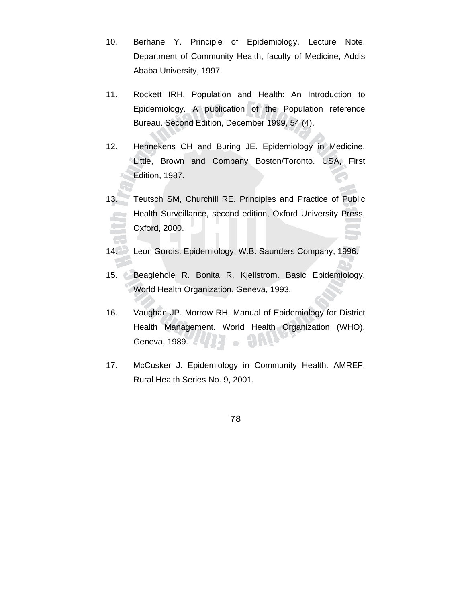- 10. Berhane Y. Principle of Epidemiology. Lecture Note. Department of Community Health, faculty of Medicine, Addis Ababa University, 1997.
- 11. Rockett IRH. Population and Health: An Introduction to Epidemiology. A publication of the Population reference Bureau. Second Edition, December 1999, 54 (4).
- 12. Hennekens CH and Buring JE. Epidemiology in Medicine. Little, Brown and Company Boston/Toronto. USA, First Edition, 1987.
- 13. Teutsch SM, Churchill RE. Principles and Practice of Public Health Surveillance, second edition, Oxford University Press, Oxford, 2000.
- 14. Leon Gordis. Epidemiology. W.B. Saunders Company, 1996.
- 15. Beaglehole R. Bonita R. Kjellstrom. Basic Epidemiology. World Health Organization, Geneva, 1993.
- 16. Vaughan JP. Morrow RH. Manual of Epidemiology for District Health Management. World Health Organization (WHO), Geneva, 1989.  $\bullet$
- 17. McCusker J. Epidemiology in Community Health. AMREF. Rural Health Series No. 9, 2001.